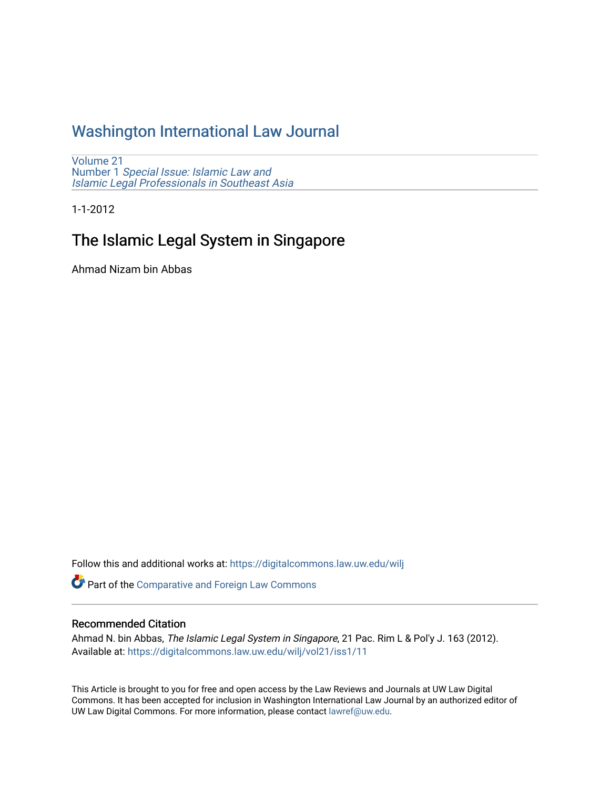# [Washington International Law Journal](https://digitalcommons.law.uw.edu/wilj)

[Volume 21](https://digitalcommons.law.uw.edu/wilj/vol21) Number 1 [Special Issue: Islamic Law and](https://digitalcommons.law.uw.edu/wilj/vol21/iss1) [Islamic Legal Professionals in Southeast Asia](https://digitalcommons.law.uw.edu/wilj/vol21/iss1)

1-1-2012

# The Islamic Legal System in Singapore

Ahmad Nizam bin Abbas

Follow this and additional works at: [https://digitalcommons.law.uw.edu/wilj](https://digitalcommons.law.uw.edu/wilj?utm_source=digitalcommons.law.uw.edu%2Fwilj%2Fvol21%2Fiss1%2F11&utm_medium=PDF&utm_campaign=PDFCoverPages) 

Part of the [Comparative and Foreign Law Commons](http://network.bepress.com/hgg/discipline/836?utm_source=digitalcommons.law.uw.edu%2Fwilj%2Fvol21%2Fiss1%2F11&utm_medium=PDF&utm_campaign=PDFCoverPages) 

#### Recommended Citation

Ahmad N. bin Abbas, The Islamic Legal System in Singapore, 21 Pac. Rim L & Pol'y J. 163 (2012). Available at: [https://digitalcommons.law.uw.edu/wilj/vol21/iss1/11](https://digitalcommons.law.uw.edu/wilj/vol21/iss1/11?utm_source=digitalcommons.law.uw.edu%2Fwilj%2Fvol21%2Fiss1%2F11&utm_medium=PDF&utm_campaign=PDFCoverPages)

This Article is brought to you for free and open access by the Law Reviews and Journals at UW Law Digital Commons. It has been accepted for inclusion in Washington International Law Journal by an authorized editor of UW Law Digital Commons. For more information, please contact [lawref@uw.edu](mailto:lawref@uw.edu).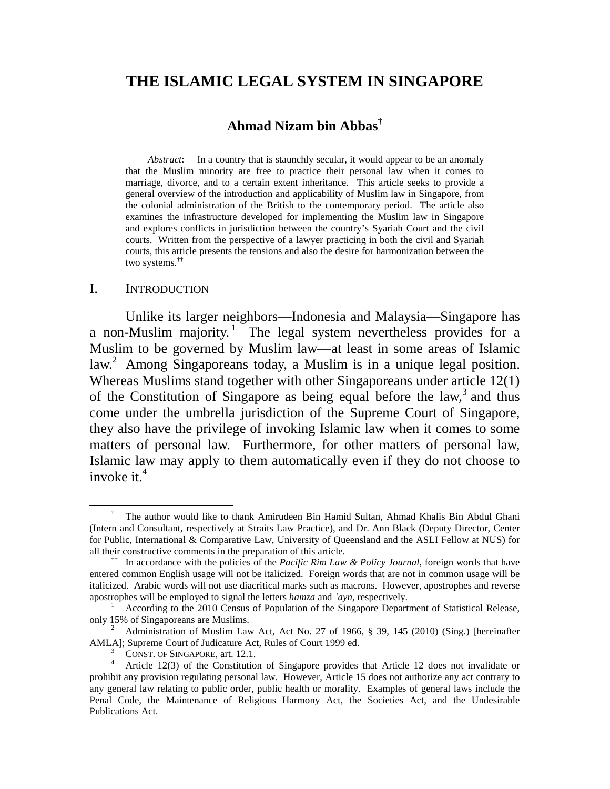# **THE ISLAMIC LEGAL SYSTEM IN SINGAPORE**

# **Ahmad Nizam bin Abbas†**

*Abstract*: In a country that is staunchly secular, it would appear to be an anomaly that the Muslim minority are free to practice their personal law when it comes to marriage, divorce, and to a certain extent inheritance. This article seeks to provide a general overview of the introduction and applicability of Muslim law in Singapore, from the colonial administration of the British to the contemporary period. The article also examines the infrastructure developed for implementing the Muslim law in Singapore and explores conflicts in jurisdiction between the country's Syariah Court and the civil courts. Written from the perspective of a lawyer practicing in both the civil and Syariah courts, this article presents the tensions and also the desire for harmonization between the two systems.††

#### I. INTRODUCTION

Unlike its larger neighbors—Indonesia and Malaysia—Singapore has a non-Muslim majority.<sup>1</sup> The legal system nevertheless provides for a Muslim to be governed by Muslim law—at least in some areas of Islamic law.<sup>2</sup> Among Singaporeans today, a Muslim is in a unique legal position. Whereas Muslims stand together with other Singaporeans under article 12(1) of the Constitution of Singapore as being equal before the law, $3$  and thus come under the umbrella jurisdiction of the Supreme Court of Singapore, they also have the privilege of invoking Islamic law when it comes to some matters of personal law. Furthermore, for other matters of personal law, Islamic law may apply to them automatically even if they do not choose to invoke it. $4$ 

 <sup>†</sup> The author would like to thank Amirudeen Bin Hamid Sultan, Ahmad Khalis Bin Abdul Ghani (Intern and Consultant, respectively at Straits Law Practice), and Dr. Ann Black (Deputy Director, Center for Public, International & Comparative Law, University of Queensland and the ASLI Fellow at NUS) for all their constructive comments in the preparation of this article.

<sup>††</sup> In accordance with the policies of the *Pacific Rim Law & Policy Journal*, foreign words that have entered common English usage will not be italicized. Foreign words that are not in common usage will be italicized. Arabic words will not use diacritical marks such as macrons. However, apostrophes and reverse apostrophes will be employed to signal the letters *hamza* and *'ayn*, respectively. 1

According to the 2010 Census of Population of the Singapore Department of Statistical Release, only 15% of Singaporeans are Muslims. 2

Administration of Muslim Law Act, Act No. 27 of 1966, § 39, 145 (2010) (Sing.) [hereinafter AMLA]; Supreme Court of Judicature Act, Rules of Court 1999 ed.

CONST. OF SINGAPORE, art. 12.1. 4

Article 12(3) of the Constitution of Singapore provides that Article 12 does not invalidate or prohibit any provision regulating personal law. However, Article 15 does not authorize any act contrary to any general law relating to public order, public health or morality. Examples of general laws include the Penal Code, the Maintenance of Religious Harmony Act, the Societies Act, and the Undesirable Publications Act.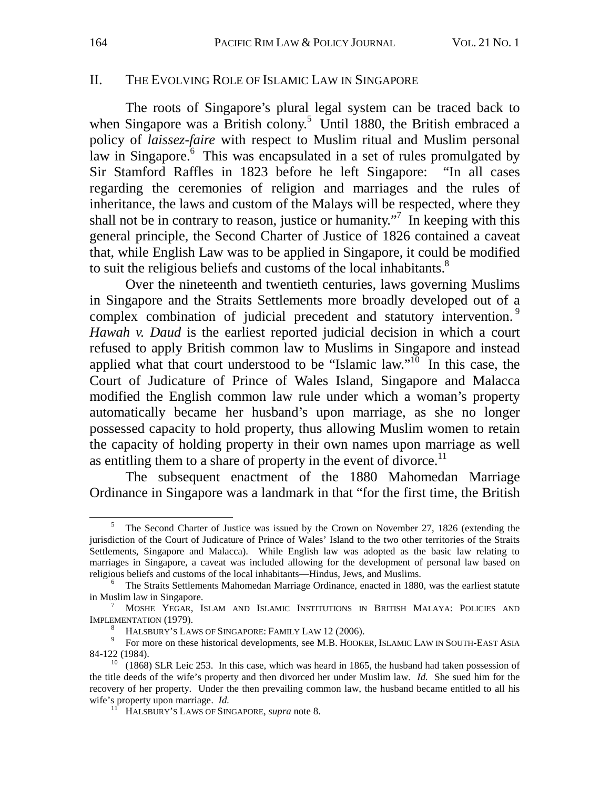### II. THE EVOLVING ROLE OF ISLAMIC LAW IN SINGAPORE

The roots of Singapore's plural legal system can be traced back to when Singapore was a British colony.<sup>5</sup> Until 1880, the British embraced a policy of *laissez-faire* with respect to Muslim ritual and Muslim personal law in Singapore.<sup>6</sup> This was encapsulated in a set of rules promulgated by Sir Stamford Raffles in 1823 before he left Singapore: "In all cases regarding the ceremonies of religion and marriages and the rules of inheritance, the laws and custom of the Malays will be respected, where they shall not be in contrary to reason, justice or humanity."<sup>7</sup> In keeping with this general principle, the Second Charter of Justice of 1826 contained a caveat that, while English Law was to be applied in Singapore, it could be modified to suit the religious beliefs and customs of the local inhabitants.<sup>8</sup>

Over the nineteenth and twentieth centuries, laws governing Muslims in Singapore and the Straits Settlements more broadly developed out of a complex combination of judicial precedent and statutory intervention.<sup>9</sup> *Hawah v. Daud* is the earliest reported judicial decision in which a court refused to apply British common law to Muslims in Singapore and instead applied what that court understood to be "Islamic law."<sup>10</sup> In this case, the Court of Judicature of Prince of Wales Island, Singapore and Malacca modified the English common law rule under which a woman's property automatically became her husband's upon marriage, as she no longer possessed capacity to hold property, thus allowing Muslim women to retain the capacity of holding property in their own names upon marriage as well as entitling them to a share of property in the event of divorce.<sup>11</sup>

The subsequent enactment of the 1880 Mahomedan Marriage Ordinance in Singapore was a landmark in that "for the first time, the British

 $rac{1}{5}$  The Second Charter of Justice was issued by the Crown on November 27, 1826 (extending the jurisdiction of the Court of Judicature of Prince of Wales' Island to the two other territories of the Straits Settlements, Singapore and Malacca). While English law was adopted as the basic law relating to marriages in Singapore, a caveat was included allowing for the development of personal law based on religious beliefs and customs of the local inhabitants—Hindus, Jews, and Muslims. 6

 $6$  The Straits Settlements Mahomedan Marriage Ordinance, enacted in 1880, was the earliest statute in Muslim law in Singapore.

<sup>&</sup>lt;sup>7</sup> MOSHE YEGAR, ISLAM AND ISLAMIC INSTITUTIONS IN BRITISH MALAYA: POLICIES AND IMPLEMENTATION (1979).<br><sup>8</sup> HALSBURY'S LAWS OF SINGAPORE: FAMILY LAW 12 (2006).

 $^8$  Halsbury's Laws of Singapore: Family Law 12 (2006).<br>9 For more on these historical developments, see M.B. HOOKER, ISLAMIC Law in SOUTH-East Asia 84-122 (1984).<br><sup>10</sup> (1868) SLR Leic 253. In this case, which was heard in 1865, the husband had taken possession of

the title deeds of the wife's property and then divorced her under Muslim law. *Id.* She sued him for the recovery of her property. Under the then prevailing common law, the husband became entitled to all his wife's property upon marriage. *Id.* <sup>11</sup> HALSBURY'S LAWS OF SINGAPORE, *supra* note 8.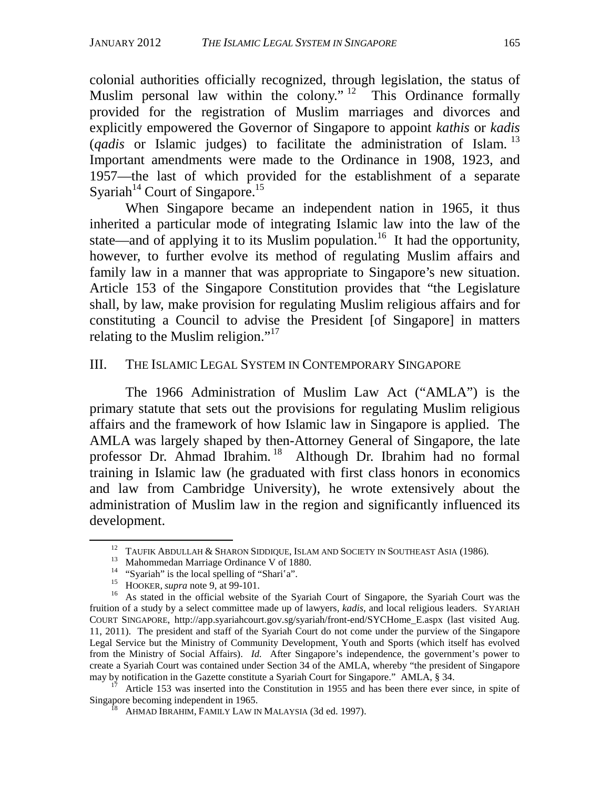colonial authorities officially recognized, through legislation, the status of Muslim personal law within the colony."<sup>12</sup> This Ordinance formally provided for the registration of Muslim marriages and divorces and explicitly empowered the Governor of Singapore to appoint *kathis* or *kadis* (*qadis* or Islamic judges) to facilitate the administration of Islam. 13 Important amendments were made to the Ordinance in 1908, 1923, and 1957—the last of which provided for the establishment of a separate Syariah<sup>14</sup> Court of Singapore.<sup>15</sup>

When Singapore became an independent nation in 1965, it thus inherited a particular mode of integrating Islamic law into the law of the state—and of applying it to its Muslim population.<sup>16</sup> It had the opportunity, however, to further evolve its method of regulating Muslim affairs and family law in a manner that was appropriate to Singapore's new situation. Article 153 of the Singapore Constitution provides that "the Legislature shall, by law, make provision for regulating Muslim religious affairs and for constituting a Council to advise the President [of Singapore] in matters relating to the Muslim religion."<sup>17</sup>

# III. THE ISLAMIC LEGAL SYSTEM IN CONTEMPORARY SINGAPORE

The 1966 Administration of Muslim Law Act ("AMLA") is the primary statute that sets out the provisions for regulating Muslim religious affairs and the framework of how Islamic law in Singapore is applied. The AMLA was largely shaped by then-Attorney General of Singapore, the late professor Dr. Ahmad Ibrahim. 18 Although Dr. Ibrahim had no formal training in Islamic law (he graduated with first class honors in economics and law from Cambridge University), he wrote extensively about the administration of Muslim law in the region and significantly influenced its development.

<sup>&</sup>lt;sup>12</sup> TAUFIK ABDULLAH & SHARON SIDDIQUE, ISLAM AND SOCIETY IN SOUTHEAST ASIA (1986).<br><sup>13</sup> Mahommedan Marriage Ordinance V of 1880.<br><sup>14</sup> "Syariah" is the local spelling of "Shari'a".

<sup>&</sup>lt;sup>15</sup> HOOKER, *supra* note 9, at 99-101.<br><sup>16</sup> As stated in the official website of the Syariah Court of Singapore, the Syariah Court was the fruition of a study by a select committee made up of lawyers, *kadis*, and local religious leaders. SYARIAH COURT SINGAPORE, http://app.syariahcourt.gov.sg/syariah/front-end/SYCHome\_E.aspx (last visited Aug. 11, 2011). The president and staff of the Syariah Court do not come under the purview of the Singapore Legal Service but the Ministry of Community Development, Youth and Sports (which itself has evolved from the Ministry of Social Affairs). *Id.* After Singapore's independence, the government's power to create a Syariah Court was contained under Section 34 of the AMLA, whereby "the president of Singapore may by notification in the Gazette constitute a Syariah Court for Singapore." AMLA, § 34.

<sup>&</sup>lt;sup>17</sup> Article 153 was inserted into the Constitution in 1955 and has been there ever since, in spite of Singapore becoming independent in 1965.

<sup>&</sup>lt;sup>I8</sup> AHMAD IBRAHIM, FAMILY LAW IN MALAYSIA (3d ed. 1997).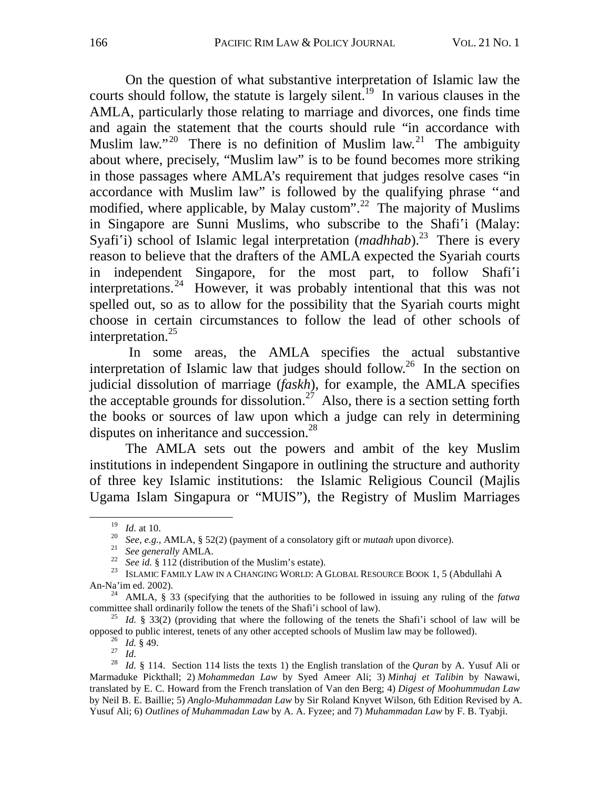On the question of what substantive interpretation of Islamic law the courts should follow, the statute is largely silent.<sup>19</sup> In various clauses in the AMLA, particularly those relating to marriage and divorces, one finds time and again the statement that the courts should rule "in accordance with Muslim law."<sup>20</sup> There is no definition of Muslim law.<sup>21</sup> The ambiguity about where, precisely, "Muslim law" is to be found becomes more striking in those passages where AMLA's requirement that judges resolve cases "in accordance with Muslim law" is followed by the qualifying phrase ''and modified, where applicable, by Malay custom".<sup>22</sup> The majority of Muslims in Singapore are Sunni Muslims, who subscribe to the Shafi'i (Malay: Syafi'i) school of Islamic legal interpretation (*madhhab*).<sup>23</sup> There is every reason to believe that the drafters of the AMLA expected the Syariah courts in independent Singapore, for the most part, to follow Shafi'i interpretations.<sup>24</sup> However, it was probably intentional that this was not spelled out, so as to allow for the possibility that the Syariah courts might choose in certain circumstances to follow the lead of other schools of interpretation.<sup>25</sup>

 In some areas, the AMLA specifies the actual substantive interpretation of Islamic law that judges should follow.<sup>26</sup> In the section on judicial dissolution of marriage (*faskh*), for example, the AMLA specifies the acceptable grounds for dissolution.<sup>27</sup> Also, there is a section setting forth the books or sources of law upon which a judge can rely in determining disputes on inheritance and succession.<sup>28</sup>

The AMLA sets out the powers and ambit of the key Muslim institutions in independent Singapore in outlining the structure and authority of three key Islamic institutions: the Islamic Religious Council (Majlis Ugama Islam Singapura or "MUIS"), the Registry of Muslim Marriages

<sup>&</sup>lt;sup>19</sup> *Id.* at 10.<br><sup>20</sup> *See, e.g.,* AMLA, § 52(2) (payment of a consolatory gift or *mutaah* upon divorce).<br><sup>21</sup> *See generally* AMLA.<br><sup>22</sup> *See id.* § 112 (distribution of the Muslim's estate).<br><sup>23</sup> ISLAMIC FAMILY LAW I An-Na'im ed. 2002). 24 AMLA, § 33 (specifying that the authorities to be followed in issuing any ruling of the *fatwa*

committee shall ordinarily follow the tenets of the Shafi'i school of law).<br><sup>25</sup> *Id.* § 33(2) (providing that where the following of the tenets the Shafi'i school of law will be opposed to public interest, tenets of any o

<sup>&</sup>lt;sup>26</sup> *Id.* § 49.<br><sup>27</sup> *Id.*<br><sup>28</sup> *Id.* § 114. Section 114 lists the texts 1) the English translation of the *Quran* by A. Yusuf Ali or Marmaduke Pickthall; 2) *Mohammedan Law* by Syed Ameer Ali; 3) *Minhaj et Talibin* by Nawawi, translated by E. C. Howard from the French translation of Van den Berg; 4) *Digest of Moohummudan Law* by Neil B. E. Baillie; 5) *Anglo-Muhammadan Law* by Sir Roland Knyvet Wilson, 6th Edition Revised by A. Yusuf Ali; 6) *Outlines of Muhammadan Law* by A. A. Fyzee; and 7) *Muhammadan Law* by F. B. Tyabji.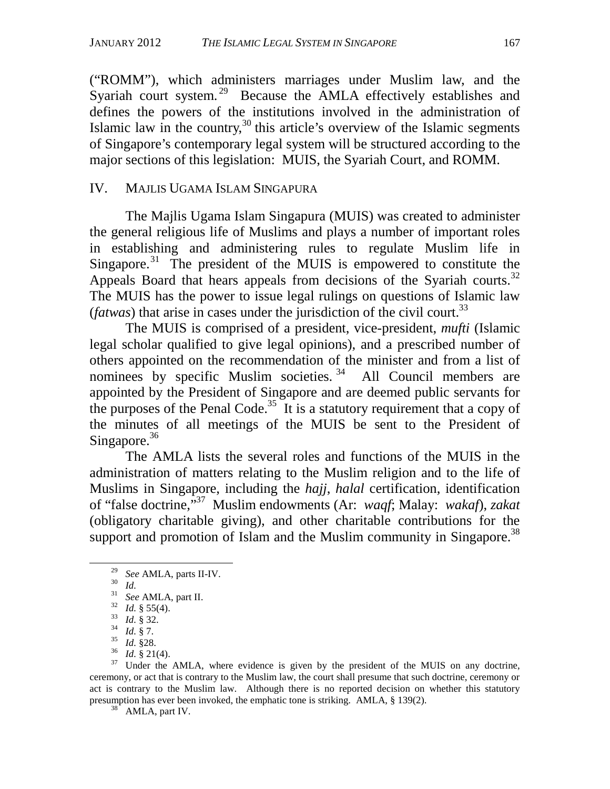("ROMM"), which administers marriages under Muslim law, and the Syariah court system.<sup>29</sup> Because the AMLA effectively establishes and defines the powers of the institutions involved in the administration of Islamic law in the country,  $30$  this article's overview of the Islamic segments of Singapore's contemporary legal system will be structured according to the major sections of this legislation: MUIS, the Syariah Court, and ROMM.

# IV. MAJLIS UGAMA ISLAM SINGAPURA

The Majlis Ugama Islam Singapura (MUIS) was created to administer the general religious life of Muslims and plays a number of important roles in establishing and administering rules to regulate Muslim life in Singapore.<sup>31</sup> The president of the MUIS is empowered to constitute the Appeals Board that hears appeals from decisions of the Syariah courts.<sup>32</sup> The MUIS has the power to issue legal rulings on questions of Islamic law (*fatwas*) that arise in cases under the jurisdiction of the civil court.<sup>33</sup>

The MUIS is comprised of a president, vice-president, *mufti* (Islamic legal scholar qualified to give legal opinions), and a prescribed number of others appointed on the recommendation of the minister and from a list of nominees by specific Muslim societies.<sup>34</sup> All Council members are appointed by the President of Singapore and are deemed public servants for the purposes of the Penal Code.<sup>35</sup> It is a statutory requirement that a copy of the minutes of all meetings of the MUIS be sent to the President of Singapore.<sup>36</sup>

The AMLA lists the several roles and functions of the MUIS in the administration of matters relating to the Muslim religion and to the life of Muslims in Singapore, including the *hajj*, *halal* certification, identification of "false doctrine,"37 Muslim endowments (Ar: *waqf*; Malay: *wakaf*), *zakat*  (obligatory charitable giving), and other charitable contributions for the support and promotion of Islam and the Muslim community in Singapore.<sup>38</sup>

<sup>&</sup>lt;sup>29</sup> See AMLA, parts II-IV.<br>
<sup>31</sup> *Id.*<br>
<sup>31</sup> See AMLA, part II.<br>
<sup>32</sup> *Id.* § 55(4).<br>
<sup>33</sup> *Id.* § 32.<br>
<sup>34</sup> *Id.* § 7.<br>
<sup>35</sup> *Id.* § 21.<br>
<sup>35</sup> *Id.* § 21.<br>
<sup>36</sup> *Id.* § 21.(4).<br>
<sup>36</sup> *Id.* § 21.(4).<br>
<sup>37</sup> Under the AMLA ceremony, or act that is contrary to the Muslim law, the court shall presume that such doctrine, ceremony or act is contrary to the Muslim law. Although there is no reported decision on whether this statutory presumption has ever been invoked, the emphatic tone is striking. AMLA, § 139(2). AMLA, part IV.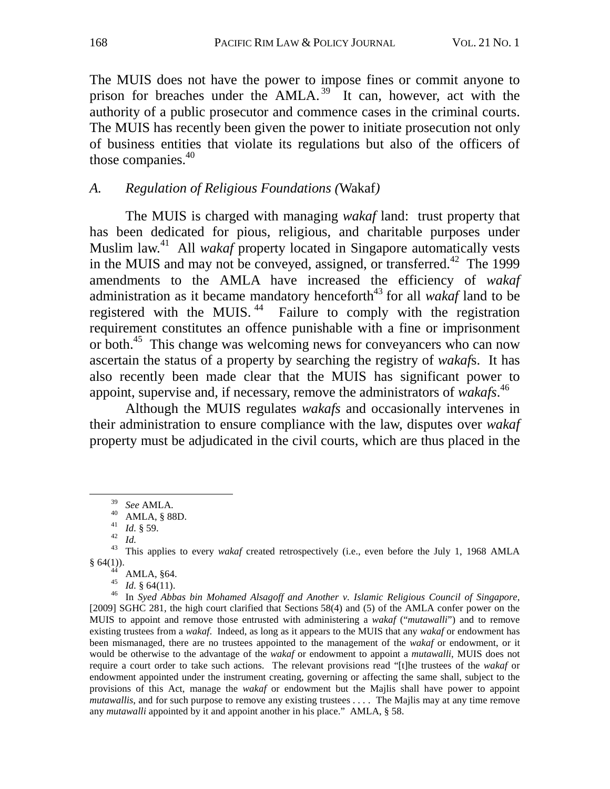The MUIS does not have the power to impose fines or commit anyone to prison for breaches under the AMLA.<sup>39</sup> It can, however, act with the authority of a public prosecutor and commence cases in the criminal courts. The MUIS has recently been given the power to initiate prosecution not only of business entities that violate its regulations but also of the officers of those companies.<sup>40</sup>

# *A. Regulation of Religious Foundations (*Wakaf*)*

The MUIS is charged with managing *wakaf* land: trust property that has been dedicated for pious, religious, and charitable purposes under Muslim law.41 All *wakaf* property located in Singapore automatically vests in the MUIS and may not be conveyed, assigned, or transferred.<sup>42</sup> The 1999 amendments to the AMLA have increased the efficiency of *wakaf* administration as it became mandatory henceforth<sup>43</sup> for all *wakaf* land to be registered with the MUIS.<sup>44</sup> Failure to comply with the registration requirement constitutes an offence punishable with a fine or imprisonment or both.45 This change was welcoming news for conveyancers who can now ascertain the status of a property by searching the registry of *wakaf*s. It has also recently been made clear that the MUIS has significant power to appoint, supervise and, if necessary, remove the administrators of *wakafs*. 46

Although the MUIS regulates *wakafs* and occasionally intervenes in their administration to ensure compliance with the law, disputes over *wakaf* property must be adjudicated in the civil courts, which are thus placed in the

<sup>39</sup>*See* AMLA. 40 AMLA, § 88D.

<sup>&</sup>lt;sup>42</sup> *Id.*<br><sup>43</sup> *Id.* This applies to every *wakaf* created retrospectively (i.e., even before the July 1, 1968 AMLA  $\frac{\$ \ 64(1))}{44}$  AMLA,  $\$64$ .<br> $\frac{45}{45}$  *M*  $\frac{8}{64(11)}$ 

<sup>&</sup>lt;sup>45</sup> Id. § 64(11).<br><sup>46</sup> In *Syed Abbas bin Mohamed Alsagoff and Another v. Islamic Religious Council of Singapore,* [2009] SGHC 281, the high court clarified that Sections 58(4) and (5) of the AMLA confer power on the MUIS to appoint and remove those entrusted with administering a *wakaf* ("*mutawalli*") and to remove existing trustees from a *wakaf*. Indeed, as long as it appears to the MUIS that any *wakaf* or endowment has been mismanaged, there are no trustees appointed to the management of the *wakaf* or endowment, or it would be otherwise to the advantage of the *wakaf* or endowment to appoint a *mutawalli*, MUIS does not require a court order to take such actions. The relevant provisions read "[t]he trustees of the *wakaf* or endowment appointed under the instrument creating, governing or affecting the same shall, subject to the provisions of this Act, manage the *wakaf* or endowment but the Majlis shall have power to appoint *mutawallis*, and for such purpose to remove any existing trustees . . . . The Majlis may at any time remove any *mutawalli* appointed by it and appoint another in his place." AMLA, § 58.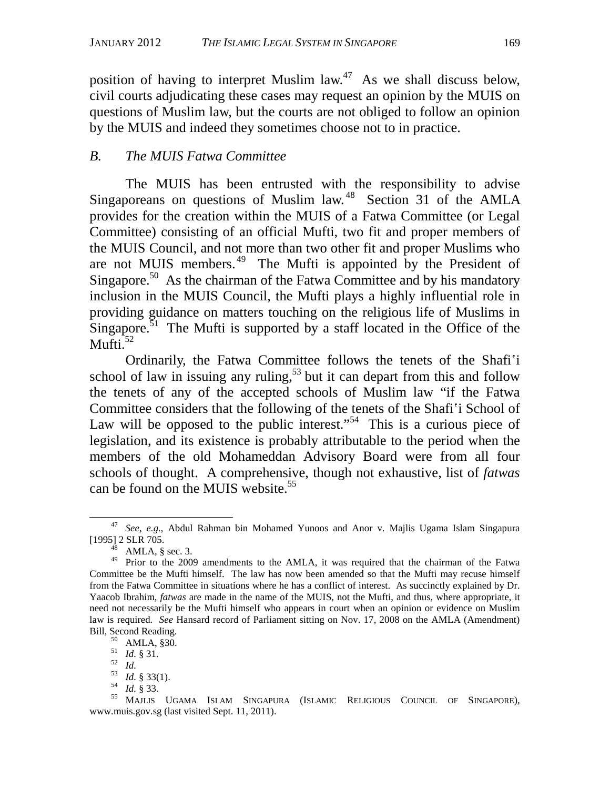position of having to interpret Muslim  $law<sup>47</sup>$ . As we shall discuss below, civil courts adjudicating these cases may request an opinion by the MUIS on questions of Muslim law, but the courts are not obliged to follow an opinion by the MUIS and indeed they sometimes choose not to in practice.

# *B. The MUIS Fatwa Committee*

The MUIS has been entrusted with the responsibility to advise Singaporeans on questions of Muslim law.<sup>48</sup> Section 31 of the AMLA provides for the creation within the MUIS of a Fatwa Committee (or Legal Committee) consisting of an official Mufti, two fit and proper members of the MUIS Council, and not more than two other fit and proper Muslims who are not MUIS members.<sup>49</sup> The Mufti is appointed by the President of Singapore.<sup>50</sup> As the chairman of the Fatwa Committee and by his mandatory inclusion in the MUIS Council, the Mufti plays a highly influential role in providing guidance on matters touching on the religious life of Muslims in Singapore.<sup>51</sup> The Mufti is supported by a staff located in the Office of the Mufti. $52$ 

Ordinarily, the Fatwa Committee follows the tenets of the Shafi'i school of law in issuing any ruling,  $53$  but it can depart from this and follow the tenets of any of the accepted schools of Muslim law "if the Fatwa Committee considers that the following of the tenets of the Shafi'i School of Law will be opposed to the public interest."<sup>54</sup> This is a curious piece of legislation, and its existence is probably attributable to the period when the members of the old Mohameddan Advisory Board were from all four schools of thought. A comprehensive, though not exhaustive, list of *fatwas* can be found on the MUIS website.<sup>55</sup>

 <sup>47</sup> *See, e.g.*, Abdul Rahman bin Mohamed Yunoos and Anor v. Majlis Ugama Islam Singapura [1995] 2 SLR 705.<br><sup>48</sup> AMLA, § sec. 3.

<sup>&</sup>lt;sup>49</sup> Prior to the 2009 amendments to the AMLA, it was required that the chairman of the Fatwa Committee be the Mufti himself. The law has now been amended so that the Mufti may recuse himself from the Fatwa Committee in situations where he has a conflict of interest. As succinctly explained by Dr. Yaacob Ibrahim, *fatwas* are made in the name of the MUIS, not the Mufti, and thus, where appropriate, it need not necessarily be the Mufti himself who appears in court when an opinion or evidence on Muslim law is required*. See* Hansard record of Parliament sitting on Nov. 17, 2008 on the AMLA (Amendment) Bill, Second Reading.<br>  $\begin{array}{c}\n 50 \quad \text{AMLA, } \S 30. \\
 \hline\n 51 \quad Id. \S 31.\n \end{array}$ 

<sup>52</sup> *Id.*<br>53 *Id. S* 33.<br><sup>54</sup> *Id.* § 33.<br><sup>55</sup> MAJLIS UGAMA ISLAM SINGAPURA (ISLAMIC RELIGIOUS COUNCIL OF SINGAPORE), www.muis.gov.sg (last visited Sept. 11, 2011).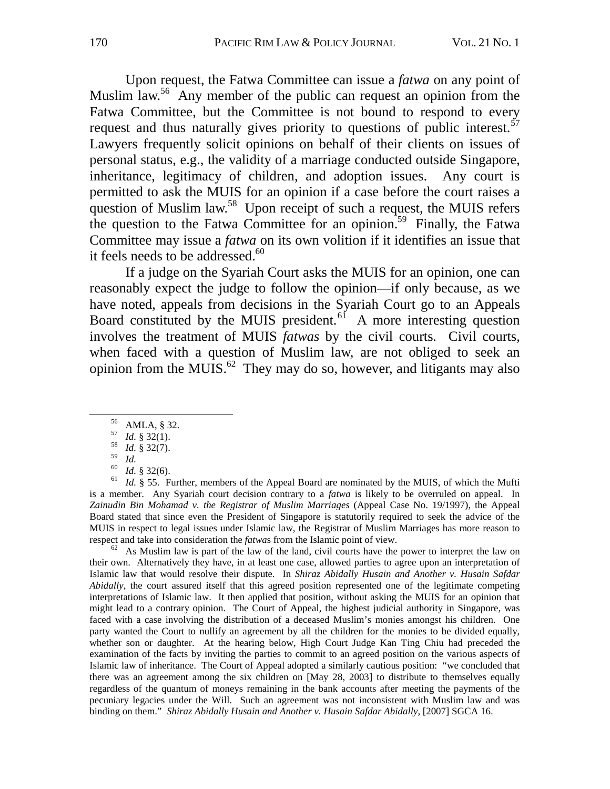Upon request, the Fatwa Committee can issue a *fatwa* on any point of Muslim law.<sup>56</sup> Any member of the public can request an opinion from the Fatwa Committee, but the Committee is not bound to respond to every request and thus naturally gives priority to questions of public interest.<sup>57</sup> Lawyers frequently solicit opinions on behalf of their clients on issues of personal status, e.g., the validity of a marriage conducted outside Singapore, inheritance, legitimacy of children, and adoption issues. Any court is permitted to ask the MUIS for an opinion if a case before the court raises a question of Muslim law.<sup>58</sup> Upon receipt of such a request, the MUIS refers the question to the Fatwa Committee for an opinion.<sup>59</sup> Finally, the Fatwa Committee may issue a *fatwa* on its own volition if it identifies an issue that it feels needs to be addressed.<sup>60</sup>

If a judge on the Syariah Court asks the MUIS for an opinion, one can reasonably expect the judge to follow the opinion—if only because, as we have noted, appeals from decisions in the Syariah Court go to an Appeals Board constituted by the MUIS president.<sup>61</sup> A more interesting question involves the treatment of MUIS *fatwas* by the civil courts*.* Civil courts, when faced with a question of Muslim law, are not obliged to seek an opinion from the MUIS.<sup>62</sup> They may do so, however, and litigants may also

- 56 AMLA, § 32.
- <sup>57</sup>*Id.* § 32(1). 58 *Id.* § 32(7).
- 
- 

<sup>59</sup>*Id.* 60 *Id.* § 32(6). 61 *Id.* § 55. Further, members of the Appeal Board are nominated by the MUIS, of which the Mufti is a member. Any Syariah court decision contrary to a *fatwa* is likely to be overruled on appeal. In *Zainudin Bin Mohamad v. the Registrar of Muslim Marriages* (Appeal Case No. 19/1997), the Appeal Board stated that since even the President of Singapore is statutorily required to seek the advice of the MUIS in respect to legal issues under Islamic law, the Registrar of Muslim Marriages has more reason to respect and take into consideration the *fatwas* from the Islamic point of view.<br><sup>62</sup> As Muslim law is part of the law of the land, civil courts have the power to interpret the law on

their own. Alternatively they have, in at least one case, allowed parties to agree upon an interpretation of Islamic law that would resolve their dispute. In *Shiraz Abidally Husain and Another v. Husain Safdar Abidally*, the court assured itself that this agreed position represented one of the legitimate competing interpretations of Islamic law. It then applied that position, without asking the MUIS for an opinion that might lead to a contrary opinion. The Court of Appeal, the highest judicial authority in Singapore, was faced with a case involving the distribution of a deceased Muslim's monies amongst his children. One party wanted the Court to nullify an agreement by all the children for the monies to be divided equally, whether son or daughter. At the hearing below, High Court Judge Kan Ting Chiu had preceded the examination of the facts by inviting the parties to commit to an agreed position on the various aspects of Islamic law of inheritance. The Court of Appeal adopted a similarly cautious position: "we concluded that there was an agreement among the six children on [May 28, 2003] to distribute to themselves equally regardless of the quantum of moneys remaining in the bank accounts after meeting the payments of the pecuniary legacies under the Will. Such an agreement was not inconsistent with Muslim law and was binding on them." *Shiraz Abidally Husain and Another v. Husain Safdar Abidally*, [2007] SGCA 16.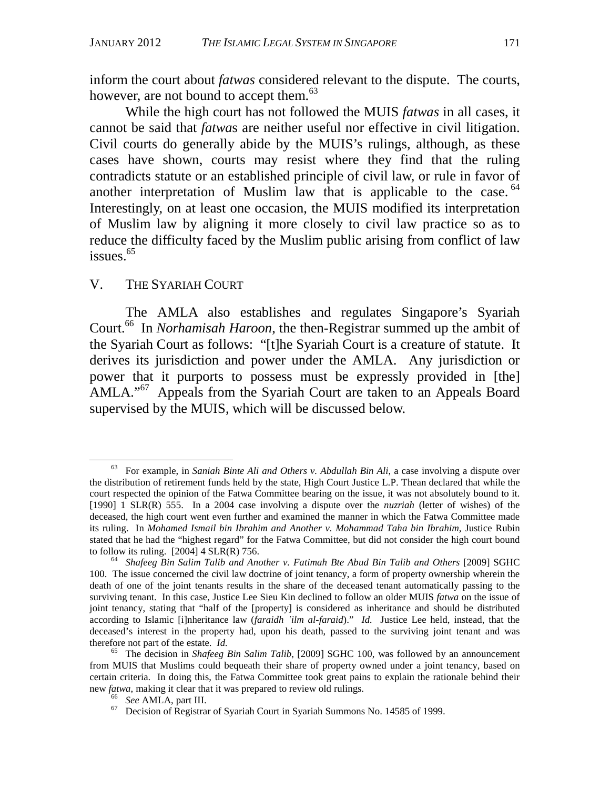inform the court about *fatwas* considered relevant to the dispute. The courts, however, are not bound to accept them.<sup>63</sup>

While the high court has not followed the MUIS *fatwas* in all cases, it cannot be said that *fatwa*s are neither useful nor effective in civil litigation. Civil courts do generally abide by the MUIS's rulings, although, as these cases have shown, courts may resist where they find that the ruling contradicts statute or an established principle of civil law, or rule in favor of another interpretation of Muslim law that is applicable to the case. <sup>64</sup> Interestingly, on at least one occasion, the MUIS modified its interpretation of Muslim law by aligning it more closely to civil law practice so as to reduce the difficulty faced by the Muslim public arising from conflict of law issues. $65$ 

#### V. THE SYARIAH COURT

The AMLA also establishes and regulates Singapore's Syariah Court.<sup>66</sup> In *Norhamisah Haroon*, the then-Registrar summed up the ambit of the Syariah Court as follows: "[t]he Syariah Court is a creature of statute. It derives its jurisdiction and power under the AMLA. Any jurisdiction or power that it purports to possess must be expressly provided in [the] AMLA."<sup>67</sup> Appeals from the Syariah Court are taken to an Appeals Board supervised by the MUIS, which will be discussed below.

 <sup>63</sup> For example, in *Saniah Binte Ali and Others v. Abdullah Bin Ali*, a case involving a dispute over the distribution of retirement funds held by the state, High Court Justice L.P. Thean declared that while the court respected the opinion of the Fatwa Committee bearing on the issue, it was not absolutely bound to it. [1990] 1 SLR(R) 555. In a 2004 case involving a dispute over the *nuzriah* (letter of wishes) of the deceased, the high court went even further and examined the manner in which the Fatwa Committee made its ruling. In *Mohamed Ismail bin Ibrahim and Another v. Mohammad Taha bin Ibrahim*, Justice Rubin stated that he had the "highest regard" for the Fatwa Committee, but did not consider the high court bound to follow its ruling. [2004] 4 SLR(R) 756. 64 *Shafeeg Bin Salim Talib and Another v. Fatimah Bte Abud Bin Talib and Others* [2009] SGHC

<sup>100.</sup> The issue concerned the civil law doctrine of joint tenancy, a form of property ownership wherein the death of one of the joint tenants results in the share of the deceased tenant automatically passing to the surviving tenant. In this case, Justice Lee Sieu Kin declined to follow an older MUIS *fatwa* on the issue of joint tenancy, stating that "half of the [property] is considered as inheritance and should be distributed according to Islamic [i]nheritance law (*faraidh 'ilm al-faraid*)." *Id.* Justice Lee held, instead, that the deceased's interest in the property had, upon his death, passed to the surviving joint tenant and was therefore not part of the estate. *Id.* 65 The decision in *Shafeeg Bin Salim Talib*, [2009] SGHC 100, was followed by an announcement

from MUIS that Muslims could bequeath their share of property owned under a joint tenancy, based on certain criteria. In doing this, the Fatwa Committee took great pains to explain the rationale behind their new *fatwa*, making it clear that it was prepared to review old rulings.<br><sup>66</sup> *See* AMLA, part III.<br><sup>67</sup> Decision of Registrar of Syariah Court in Syariah Summons No. 14585 of 1999.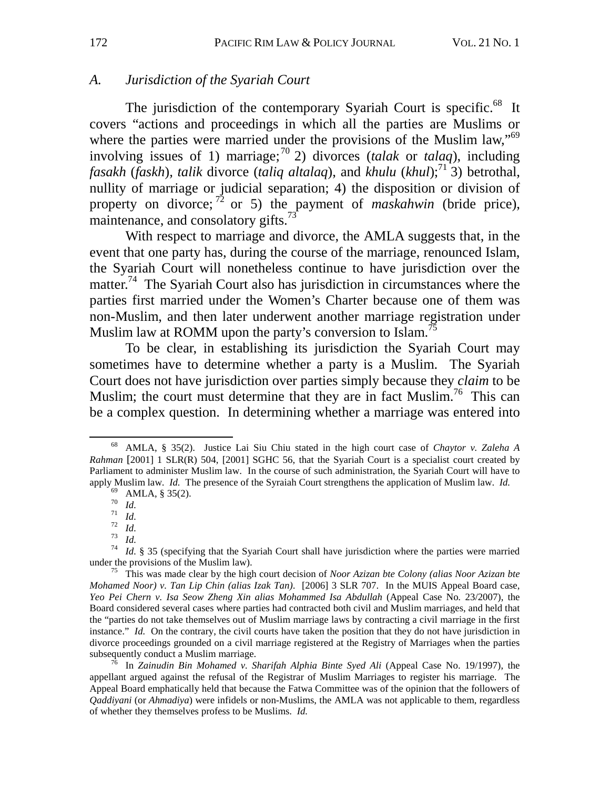# *A. Jurisdiction of the Syariah Court*

The jurisdiction of the contemporary Syariah Court is specific.<sup>68</sup> It covers "actions and proceedings in which all the parties are Muslims or where the parties were married under the provisions of the Muslim law,<sup>59</sup> involving issues of 1) marriage;<sup>70</sup> 2) divorces (*talak* or *talaq*), including *fasakh* (*faskh*)*, talik* divorce (*taliq altalaq*), and *khulu* (*khul*);<sup>71</sup> $\hat{3}$ ) betrothal, nullity of marriage or judicial separation; 4) the disposition or division of property on divorce;<sup>72</sup> or 5) the payment of *maskahwin* (bride price), maintenance, and consolatory gifts. $73$ 

With respect to marriage and divorce, the AMLA suggests that, in the event that one party has, during the course of the marriage, renounced Islam, the Syariah Court will nonetheless continue to have jurisdiction over the matter.<sup>74</sup> The Syariah Court also has jurisdiction in circumstances where the parties first married under the Women's Charter because one of them was non-Muslim, and then later underwent another marriage registration under Muslim law at ROMM upon the party's conversion to Islam.<sup>75</sup>

To be clear, in establishing its jurisdiction the Syariah Court may sometimes have to determine whether a party is a Muslim. The Syariah Court does not have jurisdiction over parties simply because they *claim* to be Muslim; the court must determine that they are in fact Muslim.<sup>76</sup> This can be a complex question. In determining whether a marriage was entered into

appellant argued against the refusal of the Registrar of Muslim Marriages to register his marriage. The Appeal Board emphatically held that because the Fatwa Committee was of the opinion that the followers of *Qaddiyani* (or *Ahmadiya*) were infidels or non-Muslims, the AMLA was not applicable to them, regardless of whether they themselves profess to be Muslims. *Id.* 

 <sup>68</sup> AMLA, § 35(2). Justice Lai Siu Chiu stated in the high court case of *Chaytor v. Zaleha A Rahman* [2001] 1 SLR(R) 504, [2001] SGHC 56, that the Syariah Court is a specialist court created by Parliament to administer Muslim law. In the course of such administration, the Syariah Court will have to apply Muslim law. *Id.* The presence of the Syraiah Court strengthens the application of Muslim law. *Id.* <sup>69</sup> AMLA, § 35(2). <sup>70</sup> *Id* 

<sup>&</sup>lt;sup>71</sup> *Id.*<br><sup>72</sup> *Id.*<br><sup>73</sup> *Id.*<br><sup>74</sup> *Id.* § 35 (specifying that the Syariah Court shall have jurisdiction where the parties were married under the provisions of the Muslim law).

<sup>&</sup>lt;sup>75</sup> This was made clear by the high court decision of *Noor Azizan bte Colony (alias Noor Azizan bte Mohamed Noor) v. Tan Lip Chin (alias Izak Tan)*. [2006] 3 SLR 707. In the MUIS Appeal Board case, *Yeo Pei Chern v. Isa Seow Zheng Xin alias Mohammed Isa Abdullah* (Appeal Case No*.* 23/2007), the Board considered several cases where parties had contracted both civil and Muslim marriages, and held that the "parties do not take themselves out of Muslim marriage laws by contracting a civil marriage in the first instance." *Id.* On the contrary, the civil courts have taken the position that they do not have jurisdiction in divorce proceedings grounded on a civil marriage registered at the Registry of Marriages when the parties subsequently conduct a Muslim marriage.<br><sup>76</sup> In *Zainudin Bin Mohamed v. Sharifah Alphia Binte Syed Ali* (Appeal Case No. 19/1997), the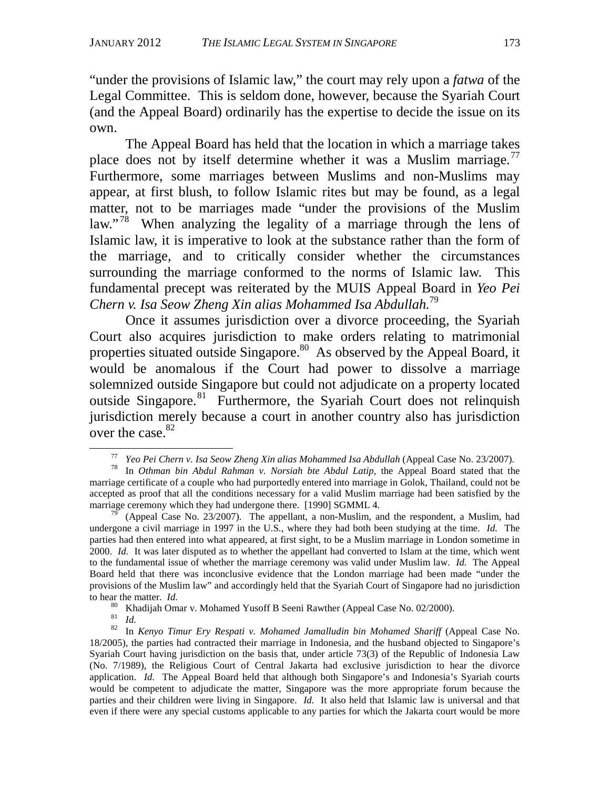"under the provisions of Islamic law," the court may rely upon a *fatwa* of the Legal Committee. This is seldom done, however, because the Syariah Court (and the Appeal Board) ordinarily has the expertise to decide the issue on its own.

The Appeal Board has held that the location in which a marriage takes place does not by itself determine whether it was a Muslim marriage.<sup>77</sup> Furthermore, some marriages between Muslims and non-Muslims may appear, at first blush, to follow Islamic rites but may be found, as a legal matter, not to be marriages made "under the provisions of the Muslim law."<sup>78</sup> When analyzing the legality of a marriage through the lens of Islamic law, it is imperative to look at the substance rather than the form of the marriage, and to critically consider whether the circumstances surrounding the marriage conformed to the norms of Islamic law. This fundamental precept was reiterated by the MUIS Appeal Board in *Yeo Pei Chern v. Isa Seow Zheng Xin alias Mohammed Isa Abdullah.*<sup>79</sup>

Once it assumes jurisdiction over a divorce proceeding, the Syariah Court also acquires jurisdiction to make orders relating to matrimonial properties situated outside Singapore.<sup>80</sup> As observed by the Appeal Board, it would be anomalous if the Court had power to dissolve a marriage solemnized outside Singapore but could not adjudicate on a property located outside Singapore.<sup>81</sup> Furthermore, the Syariah Court does not relinquish jurisdiction merely because a court in another country also has jurisdiction over the case. $82$ 

<sup>77</sup> *Yeo Pei Chern v. Isa Seow Zheng Xin alias Mohammed Isa Abdullah* (Appeal Case No. 23/2007)*.* 78 In *Othman bin Abdul Rahman v. Norsiah bte Abdul Latip*, the Appeal Board stated that the

marriage certificate of a couple who had purportedly entered into marriage in Golok, Thailand, could not be accepted as proof that all the conditions necessary for a valid Muslim marriage had been satisfied by the marriage ceremony which they had undergone there. [1990] SGMML 4.<br><sup>79</sup> (Appeal Case No. 23/2007). The appellant, a non-Muslim, and the respondent, a Muslim, had

undergone a civil marriage in 1997 in the U.S., where they had both been studying at the time. *Id.* The parties had then entered into what appeared, at first sight, to be a Muslim marriage in London sometime in 2000. *Id.* It was later disputed as to whether the appellant had converted to Islam at the time, which went to the fundamental issue of whether the marriage ceremony was valid under Muslim law. *Id.* The Appeal Board held that there was inconclusive evidence that the London marriage had been made "under the provisions of the Muslim law" and accordingly held that the Syariah Court of Singapore had no jurisdiction to hear the matter. *Id.* <sup>80</sup> Khadijah Omar v. Mohamed Yusoff B Seeni Rawther (Appeal Case No. 02/2000). <sup>81</sup> *Id* 

<sup>81</sup> *Id.* 82 In *Kenyo Timur Ery Respati v. Mohamed Jamalludin bin Mohamed Shariff* (Appeal Case No. 18/2005), the parties had contracted their marriage in Indonesia, and the husband objected to Singapore's Syariah Court having jurisdiction on the basis that, under article 73(3) of the Republic of Indonesia Law (No. 7/1989), the Religious Court of Central Jakarta had exclusive jurisdiction to hear the divorce application. *Id.* The Appeal Board held that although both Singapore's and Indonesia's Syariah courts would be competent to adjudicate the matter, Singapore was the more appropriate forum because the parties and their children were living in Singapore. *Id.* It also held that Islamic law is universal and that even if there were any special customs applicable to any parties for which the Jakarta court would be more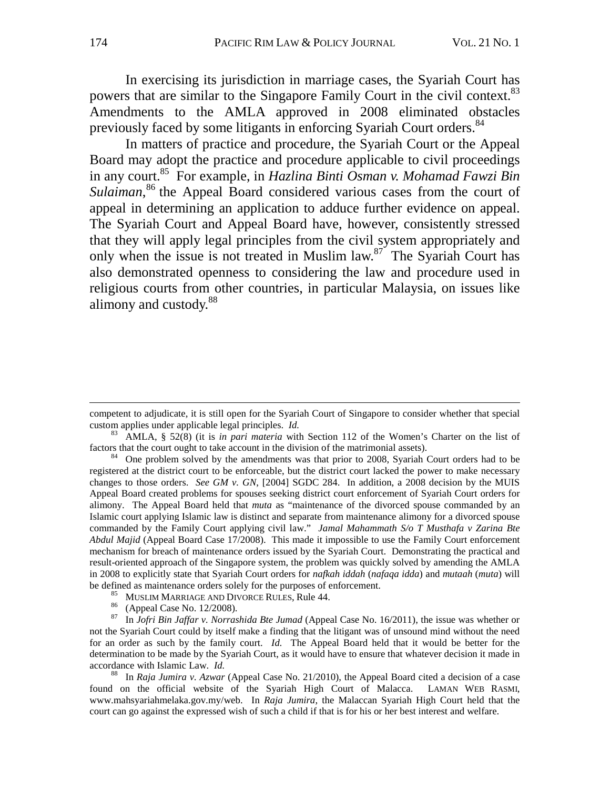In exercising its jurisdiction in marriage cases, the Syariah Court has powers that are similar to the Singapore Family Court in the civil context.<sup>83</sup> Amendments to the AMLA approved in 2008 eliminated obstacles previously faced by some litigants in enforcing Syariah Court orders.<sup>84</sup>

In matters of practice and procedure, the Syariah Court or the Appeal Board may adopt the practice and procedure applicable to civil proceedings in any court.85 For example, in *Hazlina Binti Osman v. Mohamad Fawzi Bin*  Sulaiman,<sup>86</sup> the Appeal Board considered various cases from the court of appeal in determining an application to adduce further evidence on appeal. The Syariah Court and Appeal Board have, however, consistently stressed that they will apply legal principles from the civil system appropriately and only when the issue is not treated in Muslim law.<sup>87</sup> The Syariah Court has also demonstrated openness to considering the law and procedure used in religious courts from other countries, in particular Malaysia, on issues like alimony and custody.<sup>88</sup>

 $\overline{a}$ 

competent to adjudicate, it is still open for the Syariah Court of Singapore to consider whether that special custom applies under applicable legal principles. *Id.* 

<sup>&</sup>lt;sup>83</sup> AMLA, § 52(8) (it is *in pari materia* with Section 112 of the Women's Charter on the list of factors that the court ought to take account in the division of the matrimonial assets).

 $\delta$ <sup>84</sup> One problem solved by the amendments was that prior to 2008, Syariah Court orders had to be registered at the district court to be enforceable, but the district court lacked the power to make necessary changes to those orders. *See GM v. GN*, [2004] SGDC 284. In addition, a 2008 decision by the MUIS Appeal Board created problems for spouses seeking district court enforcement of Syariah Court orders for alimony. The Appeal Board held that *muta* as "maintenance of the divorced spouse commanded by an Islamic court applying Islamic law is distinct and separate from maintenance alimony for a divorced spouse commanded by the Family Court applying civil law." *Jamal Mahammath S/o T Musthafa v Zarina Bte Abdul Majid* (Appeal Board Case 17/2008). This made it impossible to use the Family Court enforcement mechanism for breach of maintenance orders issued by the Syariah Court. Demonstrating the practical and result-oriented approach of the Singapore system, the problem was quickly solved by amending the AMLA in 2008 to explicitly state that Syariah Court orders for *nafkah iddah* (*nafaqa idda*) and *mutaah* (*muta*) will be defined as maintenance orders solely for the purposes of enforcement.<br>
<sup>85</sup> MUSLIM MARRIAGE AND DIVORCE RULES, Rule 44.<br>
<sup>86</sup> (Appeal Case No. 12/2008).<br>
<sup>87</sup> In Jofri Bin Jaffar v. Norrashida *Bts Jumad* (Appeal Case N

<sup>87</sup> In *Jofri Bin Jaffar v. Norrashida Bte Jumad* (Appeal Case No. 16/2011), the issue was whether or not the Syariah Court could by itself make a finding that the litigant was of unsound mind without the need for an order as such by the family court. *Id.* The Appeal Board held that it would be better for the determination to be made by the Syariah Court, as it would have to ensure that whatever decision it made in accordance with Islamic Law. *Id.* 88 In *Raja Jumira v. Azwar* (Appeal Case No. 21/2010), the Appeal Board cited a decision of a case

found on the official website of the Syariah High Court of Malacca. LAMAN WEB RASMI, www.mahsyariahmelaka.gov.my/web. In *Raja Jumira*, the Malaccan Syariah High Court held that the court can go against the expressed wish of such a child if that is for his or her best interest and welfare.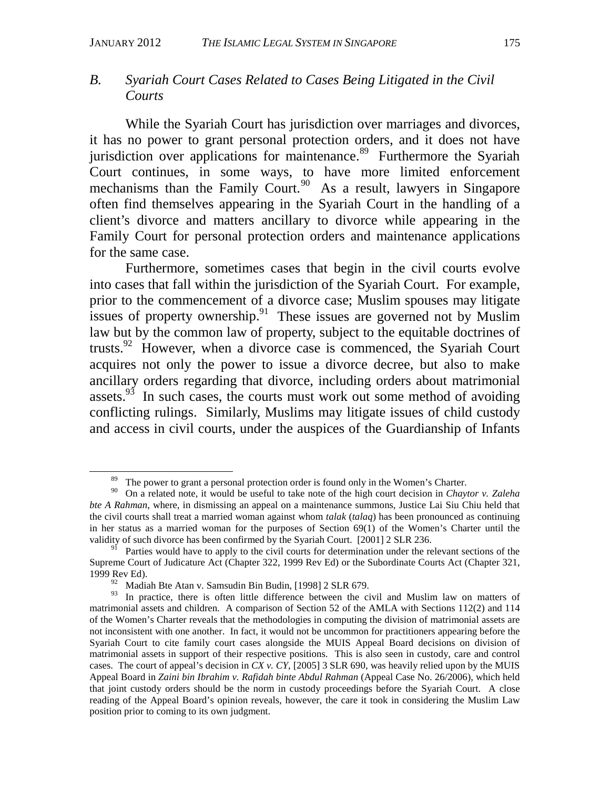# *B. Syariah Court Cases Related to Cases Being Litigated in the Civil Courts*

While the Syariah Court has jurisdiction over marriages and divorces, it has no power to grant personal protection orders, and it does not have jurisdiction over applications for maintenance.<sup>89</sup> Furthermore the Syariah Court continues, in some ways, to have more limited enforcement mechanisms than the Family Court.<sup>90</sup> As a result, lawyers in Singapore often find themselves appearing in the Syariah Court in the handling of a client's divorce and matters ancillary to divorce while appearing in the Family Court for personal protection orders and maintenance applications for the same case.

Furthermore, sometimes cases that begin in the civil courts evolve into cases that fall within the jurisdiction of the Syariah Court. For example, prior to the commencement of a divorce case; Muslim spouses may litigate issues of property ownership.<sup>91</sup> These issues are governed not by Muslim law but by the common law of property, subject to the equitable doctrines of trusts.92 However, when a divorce case is commenced, the Syariah Court acquires not only the power to issue a divorce decree, but also to make ancillary orders regarding that divorce, including orders about matrimonial assets. $93$  In such cases, the courts must work out some method of avoiding conflicting rulings. Similarly, Muslims may litigate issues of child custody and access in civil courts, under the auspices of the Guardianship of Infants

<sup>&</sup>lt;sup>89</sup> The power to grant a personal protection order is found only in the Women's Charter.

<sup>90</sup> On a related note, it would be useful to take note of the high court decision in *Chaytor v. Zaleha bte A Rahman*, where, in dismissing an appeal on a maintenance summons, Justice Lai Siu Chiu held that the civil courts shall treat a married woman against whom *talak* (*talaq*) has been pronounced as continuing in her status as a married woman for the purposes of Section 69(1) of the Women's Charter until the validity of such divorce has been confirmed by the Syariah Court. [2001] 2 SLR 236.

<sup>&</sup>lt;sup>91</sup> Parties would have to apply to the civil courts for determination under the relevant sections of the Supreme Court of Judicature Act (Chapter 322, 1999 Rev Ed) or the Subordinate Courts Act (Chapter 321, 1999 Rev Ed).

<sup>&</sup>lt;sup>92</sup> Madiah Bte Atan v. Samsudin Bin Budin, [1998] 2 SLR 679.<br><sup>93</sup> In practice, there is often little difference between the ci

In practice, there is often little difference between the civil and Muslim law on matters of matrimonial assets and children. A comparison of Section 52 of the AMLA with Sections 112(2) and 114 of the Women's Charter reveals that the methodologies in computing the division of matrimonial assets are not inconsistent with one another. In fact, it would not be uncommon for practitioners appearing before the Syariah Court to cite family court cases alongside the MUIS Appeal Board decisions on division of matrimonial assets in support of their respective positions. This is also seen in custody, care and control cases. The court of appeal's decision in *CX v. CY*, [2005] 3 SLR 690, was heavily relied upon by the MUIS Appeal Board in *Zaini bin Ibrahim v. Rafidah binte Abdul Rahman* (Appeal Case No. 26/2006), which held that joint custody orders should be the norm in custody proceedings before the Syariah Court. A close reading of the Appeal Board's opinion reveals, however, the care it took in considering the Muslim Law position prior to coming to its own judgment.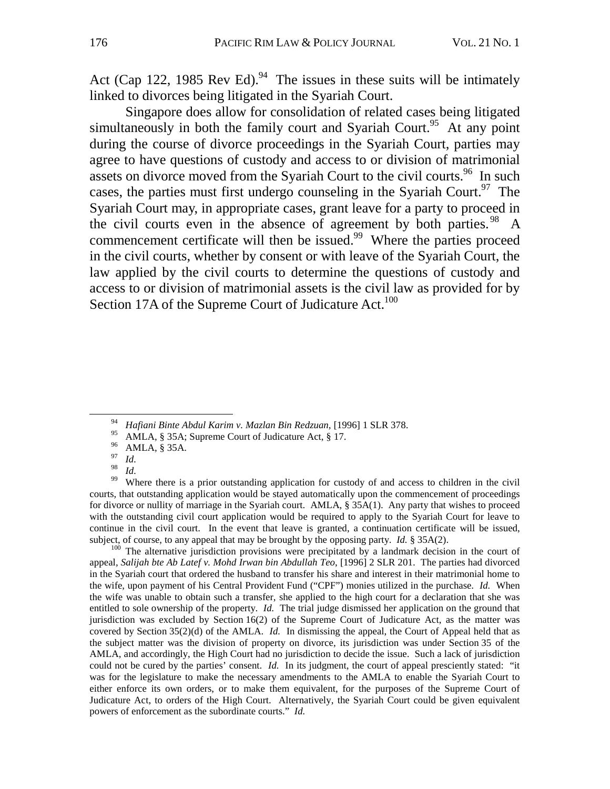Act (Cap 122, 1985 Rev Ed).<sup>94</sup> The issues in these suits will be intimately linked to divorces being litigated in the Syariah Court.

Singapore does allow for consolidation of related cases being litigated simultaneously in both the family court and Syariah Court.<sup>95</sup> At any point during the course of divorce proceedings in the Syariah Court, parties may agree to have questions of custody and access to or division of matrimonial assets on divorce moved from the Syariah Court to the civil courts.<sup>96</sup> In such cases, the parties must first undergo counseling in the Syariah Court.<sup>97</sup> The Syariah Court may, in appropriate cases, grant leave for a party to proceed in the civil courts even in the absence of agreement by both parties.<sup>98</sup> A commencement certificate will then be issued.<sup>99</sup> Where the parties proceed in the civil courts, whether by consent or with leave of the Syariah Court, the law applied by the civil courts to determine the questions of custody and access to or division of matrimonial assets is the civil law as provided for by Section 17A of the Supreme Court of Judicature Act.<sup>100</sup>

<sup>98</sup>*Id. P*<sup>98</sup> *Id.* **Where there is a prior outstanding application for custody of and access to children in the civil** courts, that outstanding application would be stayed automatically upon the commencement of proceedings for divorce or nullity of marriage in the Syariah court. AMLA, § 35A(1). Any party that wishes to proceed with the outstanding civil court application would be required to apply to the Syariah Court for leave to continue in the civil court. In the event that leave is granted, a continuation certificate will be issued, subject, of course, to any appeal that may be brought by the opposing party.  $Id. \S$  35A(2).

<sup>100</sup> The alternative jurisdiction provisions were precipitated by a landmark decision in the court of appeal, *Salijah bte Ab Latef v. Mohd Irwan bin Abdullah Teo*, [1996] 2 SLR 201. The parties had divorced in the Syariah court that ordered the husband to transfer his share and interest in their matrimonial home to the wife, upon payment of his Central Provident Fund ("CPF") monies utilized in the purchase. *Id.* When the wife was unable to obtain such a transfer, she applied to the high court for a declaration that she was entitled to sole ownership of the property. *Id.* The trial judge dismissed her application on the ground that jurisdiction was excluded by Section 16(2) of the Supreme Court of Judicature Act, as the matter was covered by Section 35(2)(d) of the AMLA. *Id.* In dismissing the appeal, the Court of Appeal held that as the subject matter was the division of property on divorce, its jurisdiction was under Section 35 of the AMLA, and accordingly, the High Court had no jurisdiction to decide the issue. Such a lack of jurisdiction could not be cured by the parties' consent. *Id.* In its judgment, the court of appeal presciently stated: "it was for the legislature to make the necessary amendments to the AMLA to enable the Syariah Court to either enforce its own orders, or to make them equivalent, for the purposes of the Supreme Court of Judicature Act, to orders of the High Court. Alternatively, the Syariah Court could be given equivalent powers of enforcement as the subordinate courts." *Id.* 

 <sup>94</sup> *Hafiani Binte Abdul Karim v. Mazlan Bin Redzuan*, [1996] 1 SLR 378.

<sup>&</sup>lt;sup>95</sup> AMLA, § 35A; Supreme Court of Judicature Act, § 17.

 $^{96}_{97}$  AMLA, § 35A.

 $\frac{97}{98}$  *Id.*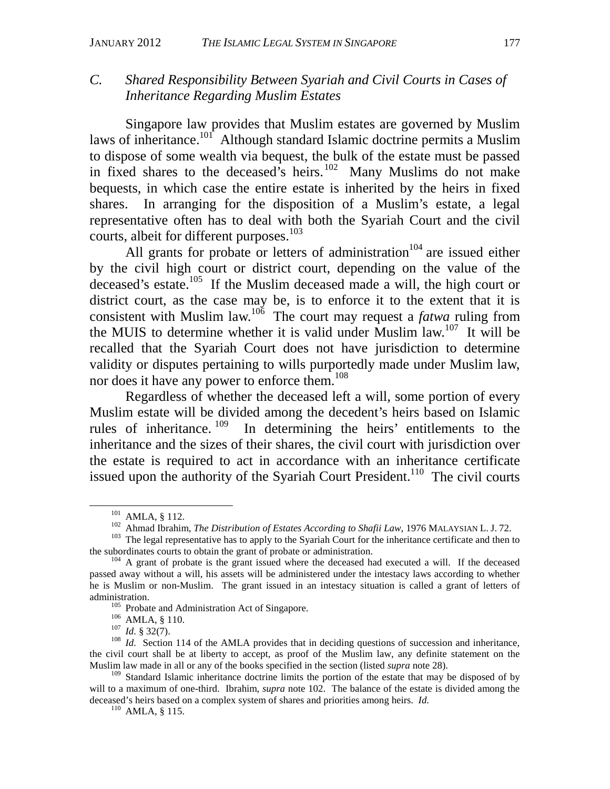# *C. Shared Responsibility Between Syariah and Civil Courts in Cases of Inheritance Regarding Muslim Estates*

Singapore law provides that Muslim estates are governed by Muslim laws of inheritance.<sup>101</sup> Although standard Islamic doctrine permits a Muslim to dispose of some wealth via bequest, the bulk of the estate must be passed in fixed shares to the deceased's heirs. $102$  Many Muslims do not make bequests, in which case the entire estate is inherited by the heirs in fixed shares. In arranging for the disposition of a Muslim's estate, a legal representative often has to deal with both the Syariah Court and the civil courts, albeit for different purposes.<sup>103</sup>

All grants for probate or letters of administration<sup>104</sup> are issued either by the civil high court or district court, depending on the value of the deceased's estate.<sup>105</sup> If the Muslim deceased made a will, the high court or district court, as the case may be, is to enforce it to the extent that it is consistent with Muslim law.<sup>106</sup> The court may request a *fatwa* ruling from the MUIS to determine whether it is valid under Muslim law.107 It will be recalled that the Syariah Court does not have jurisdiction to determine validity or disputes pertaining to wills purportedly made under Muslim law, nor does it have any power to enforce them.<sup>108</sup>

Regardless of whether the deceased left a will, some portion of every Muslim estate will be divided among the decedent's heirs based on Islamic rules of inheritance. 109 In determining the heirs' entitlements to the inheritance and the sizes of their shares, the civil court with jurisdiction over the estate is required to act in accordance with an inheritance certificate issued upon the authority of the Syariah Court President.<sup>110</sup> The civil courts

<sup>&</sup>lt;sup>101</sup> AMLA, § 112.<br>Ahmad Ibrahim, *The Distribution of Estates According to Shafii Law*, 1976 MALAYSIAN L. J. 72.<br><sup>103</sup> The legal representative has to apply to the Syariah Court for the inheritance certificate and then t

 $104$  A grant of probate is the grant issued where the deceased had executed a will. If the deceased passed away without a will, his assets will be administered under the intestacy laws according to whether he is Muslim or non-Muslim. The grant issued in an intestacy situation is called a grant of letters of administration.<br><sup>105</sup> Probate and Administration Act of Singapore.<br><sup>106</sup> AMLA, § 110.<br><sup>107</sup> *Id.* § 32(7).<br><sup>108</sup> *Id.* Section 114 of the AMLA provides that in deciding questions of succession and inheritance,

the civil court shall be at liberty to accept, as proof of the Muslim law, any definite statement on the Muslim law made in all or any of the books specified in the section (listed *supra* note 28).

<sup>&</sup>lt;sup>109</sup> Standard Islamic inheritance doctrine limits the portion of the estate that may be disposed of by will to a maximum of one-third. Ibrahim, *supra* note 102. The balance of the estate is divided among the deceased's heirs based on a complex system of shares and priorities among heirs. *Id.* 110 AMLA, § 115.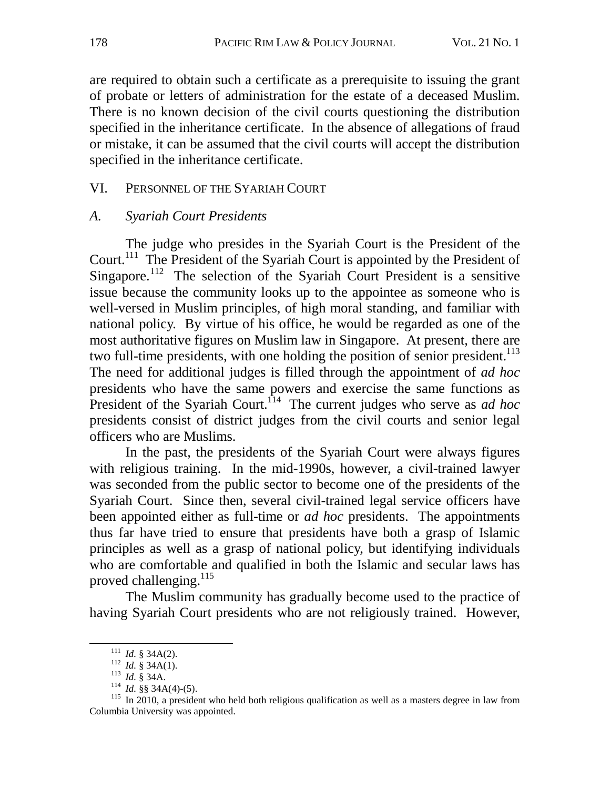are required to obtain such a certificate as a prerequisite to issuing the grant of probate or letters of administration for the estate of a deceased Muslim. There is no known decision of the civil courts questioning the distribution specified in the inheritance certificate. In the absence of allegations of fraud or mistake, it can be assumed that the civil courts will accept the distribution specified in the inheritance certificate.

# VI. PERSONNEL OF THE SYARIAH COURT

### *A. Syariah Court Presidents*

The judge who presides in the Syariah Court is the President of the Court.<sup>111</sup> The President of the Syariah Court is appointed by the President of Singapore.<sup>112</sup> The selection of the Syariah Court President is a sensitive issue because the community looks up to the appointee as someone who is well-versed in Muslim principles, of high moral standing, and familiar with national policy. By virtue of his office, he would be regarded as one of the most authoritative figures on Muslim law in Singapore. At present, there are two full-time presidents, with one holding the position of senior president.<sup>113</sup> The need for additional judges is filled through the appointment of *ad hoc* presidents who have the same powers and exercise the same functions as President of the Syariah Court.<sup>114</sup> The current judges who serve as *ad hoc* presidents consist of district judges from the civil courts and senior legal officers who are Muslims.

In the past, the presidents of the Syariah Court were always figures with religious training. In the mid-1990s, however, a civil-trained lawyer was seconded from the public sector to become one of the presidents of the Syariah Court. Since then, several civil-trained legal service officers have been appointed either as full-time or *ad hoc* presidents. The appointments thus far have tried to ensure that presidents have both a grasp of Islamic principles as well as a grasp of national policy, but identifying individuals who are comfortable and qualified in both the Islamic and secular laws has proved challenging.<sup>115</sup>

The Muslim community has gradually become used to the practice of having Syariah Court presidents who are not religiously trained. However,

<sup>&</sup>lt;sup>111</sup> *Id.* § 34A(2).<br><sup>112</sup> *Id.* § 34A(1).<br><sup>113</sup> *Id.* § 34A.<br><sup>114</sup> *Id.* §§ 34A(4)-(5).<br><sup>115</sup> In 2010, a president who held both religious qualification as well as a masters degree in law from Columbia University was appointed.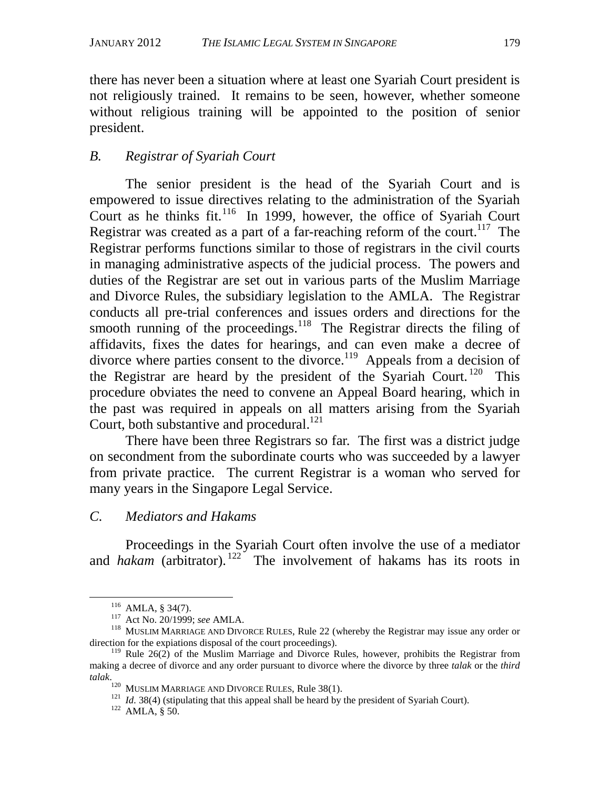there has never been a situation where at least one Syariah Court president is not religiously trained. It remains to be seen, however, whether someone without religious training will be appointed to the position of senior president.

# *B. Registrar of Syariah Court*

The senior president is the head of the Syariah Court and is empowered to issue directives relating to the administration of the Syariah Court as he thinks fit.<sup>116</sup> In 1999, however, the office of Syariah Court Registrar was created as a part of a far-reaching reform of the court.<sup>117</sup> The Registrar performs functions similar to those of registrars in the civil courts in managing administrative aspects of the judicial process. The powers and duties of the Registrar are set out in various parts of the Muslim Marriage and Divorce Rules, the subsidiary legislation to the AMLA. The Registrar conducts all pre-trial conferences and issues orders and directions for the smooth running of the proceedings. $118$  The Registrar directs the filing of affidavits, fixes the dates for hearings, and can even make a decree of divorce where parties consent to the divorce.<sup>119</sup> Appeals from a decision of the Registrar are heard by the president of the Syariah Court.<sup>120</sup> This procedure obviates the need to convene an Appeal Board hearing, which in the past was required in appeals on all matters arising from the Syariah Court, both substantive and procedural. $^{121}$ 

There have been three Registrars so far. The first was a district judge on secondment from the subordinate courts who was succeeded by a lawyer from private practice. The current Registrar is a woman who served for many years in the Singapore Legal Service.

# *C. Mediators and Hakams*

Proceedings in the Syariah Court often involve the use of a mediator and *hakam* (arbitrator).<sup>122</sup> The involvement of hakams has its roots in

 <sup>116</sup> AMLA, § 34(7). 117 Act No. 20/1999; *see* AMLA. 118 MUSLIM MARRIAGE AND DIVORCE RULES, Rule 22 (whereby the Registrar may issue any order or direction for the expiations disposal of the court proceedings).

 $119$  Rule 26(2) of the Muslim Marriage and Divorce Rules, however, prohibits the Registrar from making a decree of divorce and any order pursuant to divorce where the divorce by three *talak* or the *third talak.* <sup>120</sup> MUSLIM MARRIAGE AND DIVORCE RULES, Rule 38(1).

<sup>&</sup>lt;sup>121</sup> *Id.* 38(4) (stipulating that this appeal shall be heard by the president of Syariah Court). <sup>122</sup> AMLA, § 50.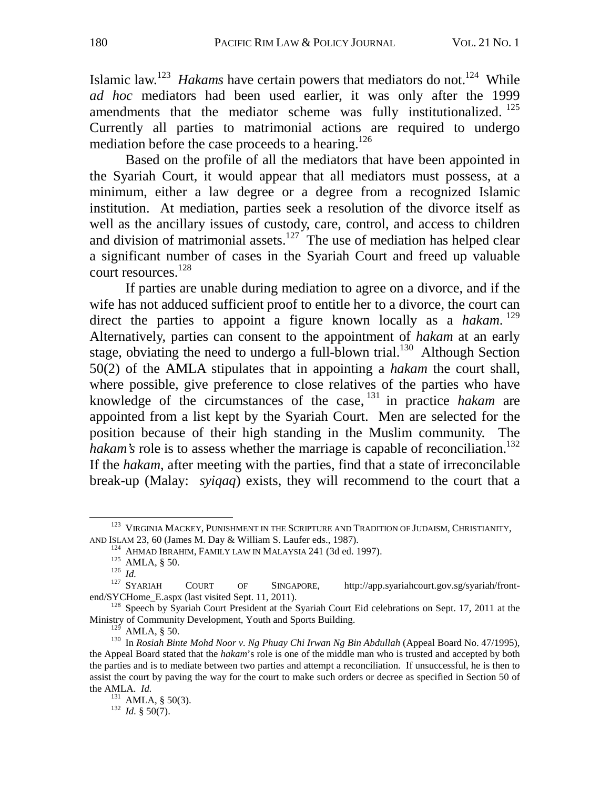Islamic law.<sup>123</sup> *Hakams* have certain powers that mediators do not.<sup>124</sup> While *ad hoc* mediators had been used earlier, it was only after the 1999 amendments that the mediator scheme was fully institutionalized.<sup>125</sup> Currently all parties to matrimonial actions are required to undergo mediation before the case proceeds to a hearing.<sup>126</sup>

Based on the profile of all the mediators that have been appointed in the Syariah Court, it would appear that all mediators must possess, at a minimum, either a law degree or a degree from a recognized Islamic institution. At mediation, parties seek a resolution of the divorce itself as well as the ancillary issues of custody, care, control, and access to children and division of matrimonial assets.<sup>127</sup> The use of mediation has helped clear a significant number of cases in the Syariah Court and freed up valuable court resources.<sup>128</sup>

If parties are unable during mediation to agree on a divorce, and if the wife has not adduced sufficient proof to entitle her to a divorce, the court can direct the parties to appoint a figure known locally as a *hakam*. <sup>129</sup> Alternatively, parties can consent to the appointment of *hakam* at an early stage, obviating the need to undergo a full-blown trial.<sup>130</sup> Although Section 50(2) of the AMLA stipulates that in appointing a *hakam* the court shall, where possible, give preference to close relatives of the parties who have knowledge of the circumstances of the case, 131 in practice *hakam* are appointed from a list kept by the Syariah Court. Men are selected for the position because of their high standing in the Muslim community. The *hakam's* role is to assess whether the marriage is capable of reconciliation.<sup>132</sup> If the *hakam*, after meeting with the parties, find that a state of irreconcilable break-up (Malay: *syiqaq*) exists, they will recommend to the court that a

<sup>&</sup>lt;sup>123</sup> VIRGINIA MACKEY, PUNISHMENT IN THE SCRIPTURE AND TRADITION OF JUDAISM, CHRISTIANITY, AND ISLAM 23, 60 (James M. Day & William S. Laufer eds., 1987).

<sup>&</sup>lt;sup>124</sup> AHMAD IBRAHIM, FAMILY LAW IN MALAYSIA 241 (3d ed. 1997).<br>
<sup>125</sup> AMLA, § 50.<br>
<sup>126</sup> Id.<br>
<sup>127</sup> SYARIAH COURT OF SINGAPORE, http://app.syariahcourt.gov.sg/syariah/front-<br>
end/SYCHome E.aspx (last visited Sept. 11, 201

 $^{128}$  Speech by Syariah Court President at the Syariah Court Eid celebrations on Sept. 17, 2011 at the Ministry of Community Development, Youth and Sports Building.<br><sup>129</sup> AMLA, § 50.

<sup>&</sup>lt;sup>130</sup> In *Rosiah Binte Mohd Noor v. Ng Phuay Chi Irwan Ng Bin Abdullah* (Appeal Board No. 47/1995), the Appeal Board stated that the *hakam*'s role is one of the middle man who is trusted and accepted by both the parties and is to mediate between two parties and attempt a reconciliation. If unsuccessful, he is then to assist the court by paving the way for the court to make such orders or decree as specified in Section 50 of the AMLA. *Id.*<br><sup>131</sup> AMLA, § 50(3).<br><sup>132</sup> *Id.* § 50(7).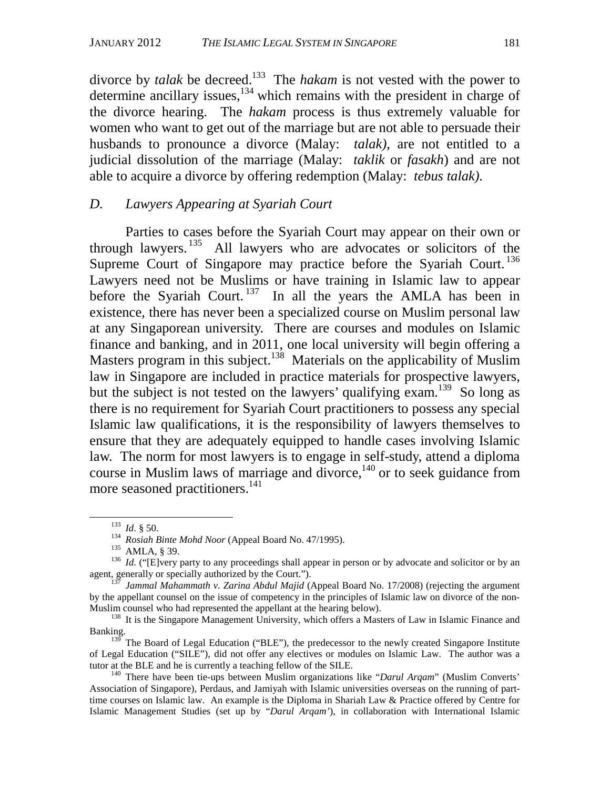divorce by *talak* be decreed.133 The *hakam* is not vested with the power to determine ancillary issues, $134$  which remains with the president in charge of the divorce hearing. The *hakam* process is thus extremely valuable for women who want to get out of the marriage but are not able to persuade their husbands to pronounce a divorce (Malay: *talak)*, are not entitled to a judicial dissolution of the marriage (Malay: *taklik* or *fasakh*) and are not able to acquire a divorce by offering redemption (Malay: *tebus talak).* 

### *D. Lawyers Appearing at Syariah Court*

Parties to cases before the Syariah Court may appear on their own or through lawyers. 135 All lawyers who are advocates or solicitors of the Supreme Court of Singapore may practice before the Syariah Court.<sup>136</sup> Lawyers need not be Muslims or have training in Islamic law to appear before the Syariah Court.<sup>137</sup> In all the years the AMLA has been in existence, there has never been a specialized course on Muslim personal law at any Singaporean university. There are courses and modules on Islamic finance and banking, and in 2011, one local university will begin offering a Masters program in this subject.<sup>138</sup> Materials on the applicability of Muslim law in Singapore are included in practice materials for prospective lawyers, but the subject is not tested on the lawyers' qualifying exam.<sup>139</sup> So long as there is no requirement for Syariah Court practitioners to possess any special Islamic law qualifications, it is the responsibility of lawyers themselves to ensure that they are adequately equipped to handle cases involving Islamic law. The norm for most lawyers is to engage in self-study, attend a diploma course in Muslim laws of marriage and divorce, $140$  or to seek guidance from more seasoned practitioners.<sup>141</sup>

<sup>&</sup>lt;sup>133</sup> *Id.* § 50.<br><sup>134</sup> *Rosiah Binte Mohd Noor* (Appeal Board No. 47/1995).<br><sup>135</sup> *AMLA*, § 39.<br><sup>136</sup> *Id.* ("[E]very party to any proceedings shall appear in person or by advocate and solicitor or by an<br>agent, generally

Jammal Mahammath v. Zarina Abdul Majid (Appeal Board No. 17/2008) (rejecting the argument by the appellant counsel on the issue of competency in the principles of Islamic law on divorce of the non-<br>Muslim counsel who had represented the appellant at the hearing below).

<sup>&</sup>lt;sup>138</sup> It is the Singapore Management University, which offers a Masters of Law in Islamic Finance and Banking.

 $139$  The Board of Legal Education ("BLE"), the predecessor to the newly created Singapore Institute of Legal Education ("SILE"), did not offer any electives or modules on Islamic Law. The author was a tutor at the BLE and he is currently a teaching fellow of the SILE.<br><sup>140</sup> There have been tie-ups between Muslim organizations like "*Darul Arqam*" (Muslim Converts'

Association of Singapore), Perdaus, and Jamiyah with Islamic universities overseas on the running of parttime courses on Islamic law. An example is the Diploma in Shariah Law & Practice offered by Centre for Islamic Management Studies (set up by "*Darul Arqam'*), in collaboration with International Islamic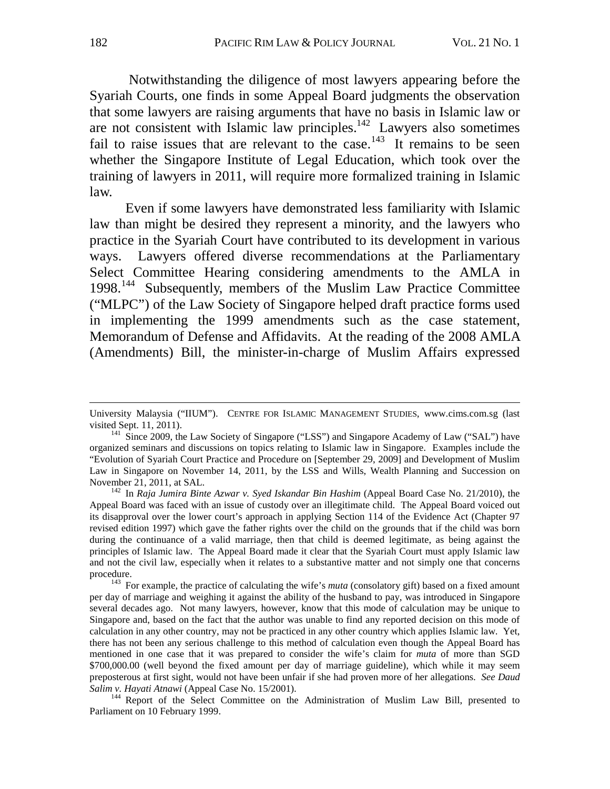Notwithstanding the diligence of most lawyers appearing before the Syariah Courts, one finds in some Appeal Board judgments the observation that some lawyers are raising arguments that have no basis in Islamic law or are not consistent with Islamic law principles.<sup>142</sup> Lawyers also sometimes fail to raise issues that are relevant to the case.<sup>143</sup> It remains to be seen whether the Singapore Institute of Legal Education, which took over the training of lawyers in 2011, will require more formalized training in Islamic law.

Even if some lawyers have demonstrated less familiarity with Islamic law than might be desired they represent a minority, and the lawyers who practice in the Syariah Court have contributed to its development in various ways. Lawyers offered diverse recommendations at the Parliamentary Select Committee Hearing considering amendments to the AMLA in 1998.144 Subsequently, members of the Muslim Law Practice Committee ("MLPC") of the Law Society of Singapore helped draft practice forms used in implementing the 1999 amendments such as the case statement, Memorandum of Defense and Affidavits. At the reading of the 2008 AMLA (Amendments) Bill, the minister-in-charge of Muslim Affairs expressed

 $\overline{a}$ 

University Malaysia ("IIUM"). CENTRE FOR ISLAMIC MANAGEMENT STUDIES, www.cims.com.sg (last visited Sept. 11, 2011).

 $^{141}$  Since 2009, the Law Society of Singapore ("LSS") and Singapore Academy of Law ("SAL") have organized seminars and discussions on topics relating to Islamic law in Singapore. Examples include the "Evolution of Syariah Court Practice and Procedure on [September 29, 2009] and Development of Muslim Law in Singapore on November 14, 2011, by the LSS and Wills, Wealth Planning and Succession on November 21, 2011, at SAL. 142 In *Raja Jumira Binte Azwar v. Syed Iskandar Bin Hashim* (Appeal Board Case No. 21/2010), the

Appeal Board was faced with an issue of custody over an illegitimate child. The Appeal Board voiced out its disapproval over the lower court's approach in applying Section 114 of the Evidence Act (Chapter 97 revised edition 1997) which gave the father rights over the child on the grounds that if the child was born during the continuance of a valid marriage, then that child is deemed legitimate, as being against the principles of Islamic law. The Appeal Board made it clear that the Syariah Court must apply Islamic law and not the civil law, especially when it relates to a substantive matter and not simply one that concerns

<sup>&</sup>lt;sup>143</sup> For example, the practice of calculating the wife's *muta* (consolatory gift) based on a fixed amount per day of marriage and weighing it against the ability of the husband to pay, was introduced in Singapore several decades ago. Not many lawyers, however, know that this mode of calculation may be unique to Singapore and, based on the fact that the author was unable to find any reported decision on this mode of calculation in any other country, may not be practiced in any other country which applies Islamic law. Yet, there has not been any serious challenge to this method of calculation even though the Appeal Board has mentioned in one case that it was prepared to consider the wife's claim for *muta* of more than SGD \$700,000.00 (well beyond the fixed amount per day of marriage guideline), which while it may seem preposterous at first sight, would not have been unfair if she had proven more of her allegations. *See Daud Salim v. Hayati Atnawi* (Appeal Case No. 15/2001).<br><sup>144</sup> Report of the Select Committee on the Administration of Muslim Law Bill, presented to

Parliament on 10 February 1999.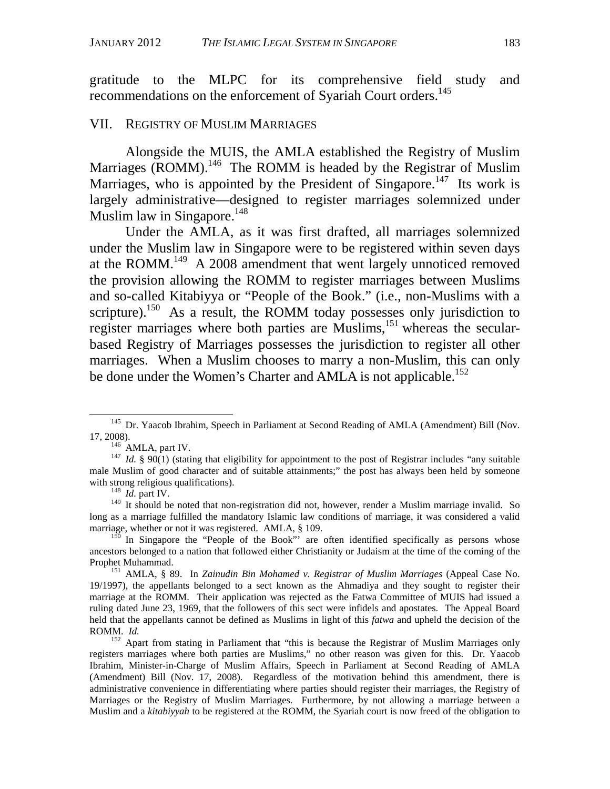gratitude to the MLPC for its comprehensive field study and recommendations on the enforcement of Syariah Court orders.<sup>145</sup>

### VII. REGISTRY OF MUSLIM MARRIAGES

Alongside the MUIS, the AMLA established the Registry of Muslim Marriages  $\overline{(ROMM)}$ .<sup>146</sup> The ROMM is headed by the Registrar of Muslim Marriages, who is appointed by the President of Singapore.<sup>147</sup> Its work is largely administrative—designed to register marriages solemnized under Muslim law in Singapore.<sup>148</sup>

Under the AMLA, as it was first drafted, all marriages solemnized under the Muslim law in Singapore were to be registered within seven days at the ROMM.<sup>149</sup> A 2008 amendment that went largely unnoticed removed the provision allowing the ROMM to register marriages between Muslims and so-called Kitabiyya or "People of the Book." (i.e., non-Muslims with a scripture).<sup>150</sup> As a result, the ROMM today possesses only jurisdiction to register marriages where both parties are Muslims,  $151$  whereas the secularbased Registry of Marriages possesses the jurisdiction to register all other marriages. When a Muslim chooses to marry a non-Muslim, this can only be done under the Women's Charter and AMLA is not applicable.<sup>152</sup>

<sup>&</sup>lt;sup>145</sup> Dr. Yaacob Ibrahim, Speech in Parliament at Second Reading of AMLA (Amendment) Bill (Nov.

<sup>17, 2008).&</sup>lt;br><sup>146</sup> AMLA, part IV.<br><sup>147</sup> *Id.* § 90(1) (stating that eligibility for appointment to the post of Registrar includes "any suitable" male Muslim of good character and of suitable attainments;" the post has always been held by someone with strong religious qualifications). 148 *Id.* part IV.

<sup>&</sup>lt;sup>149</sup> It should be noted that non-registration did not, however, render a Muslim marriage invalid. So long as a marriage fulfilled the mandatory Islamic law conditions of marriage, it was considered a valid marriage, whether or not it was registered. AMLA, § 109.

 $150$  In Singapore the "People of the Book"' are often identified specifically as persons whose ancestors belonged to a nation that followed either Christianity or Judaism at the time of the coming of the Prophet Muhammad. 151 AMLA, § 89. In *Zainudin Bin Mohamed v. Registrar of Muslim Marriages* (Appeal Case No.

<sup>19/1997),</sup> the appellants belonged to a sect known as the Ahmadiya and they sought to register their marriage at the ROMM. Their application was rejected as the Fatwa Committee of MUIS had issued a ruling dated June 23, 1969, that the followers of this sect were infidels and apostates. The Appeal Board held that the appellants cannot be defined as Muslims in light of this *fatwa* and upheld the decision of the ROMM. *Id.* <sup>152</sup> Apart from stating in Parliament that "this is because the Registrar of Muslim Marriages only

registers marriages where both parties are Muslims," no other reason was given for this. Dr. Yaacob Ibrahim, Minister-in-Charge of Muslim Affairs, Speech in Parliament at Second Reading of AMLA (Amendment) Bill (Nov. 17, 2008). Regardless of the motivation behind this amendment, there is administrative convenience in differentiating where parties should register their marriages, the Registry of Marriages or the Registry of Muslim Marriages. Furthermore, by not allowing a marriage between a Muslim and a *kitabiyyah* to be registered at the ROMM, the Syariah court is now freed of the obligation to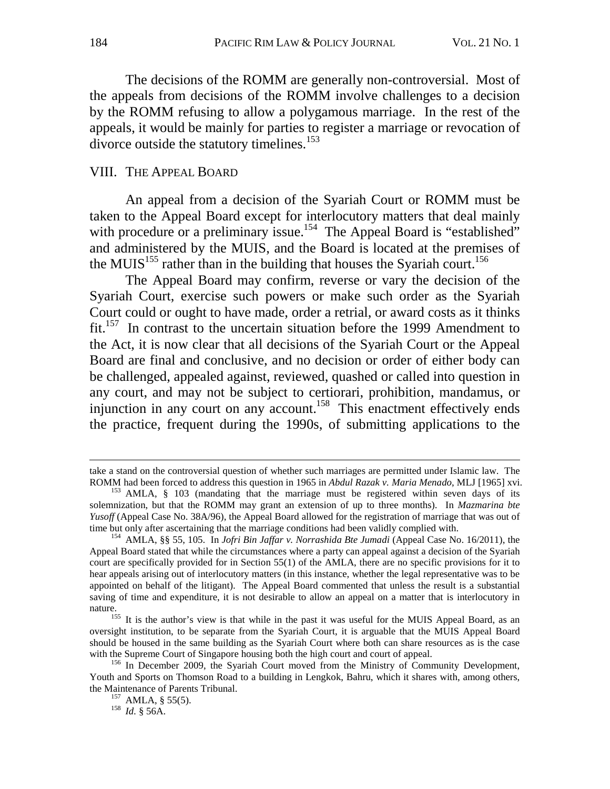The decisions of the ROMM are generally non-controversial. Most of the appeals from decisions of the ROMM involve challenges to a decision by the ROMM refusing to allow a polygamous marriage. In the rest of the appeals, it would be mainly for parties to register a marriage or revocation of divorce outside the statutory timelines. $153$ 

### VIII. THE APPEAL BOARD

An appeal from a decision of the Syariah Court or ROMM must be taken to the Appeal Board except for interlocutory matters that deal mainly with procedure or a preliminary issue.<sup>154</sup> The Appeal Board is "established" and administered by the MUIS, and the Board is located at the premises of the MUIS<sup>155</sup> rather than in the building that houses the Syariah court.<sup>156</sup>

The Appeal Board may confirm, reverse or vary the decision of the Syariah Court, exercise such powers or make such order as the Syariah Court could or ought to have made, order a retrial, or award costs as it thinks fit.157 In contrast to the uncertain situation before the 1999 Amendment to the Act, it is now clear that all decisions of the Syariah Court or the Appeal Board are final and conclusive, and no decision or order of either body can be challenged, appealed against, reviewed, quashed or called into question in any court, and may not be subject to certiorari, prohibition, mandamus, or injunction in any court on any account.<sup>158</sup> This enactment effectively ends the practice, frequent during the 1990s, of submitting applications to the

 $\overline{a}$ 

take a stand on the controversial question of whether such marriages are permitted under Islamic law. The ROMM had been forced to address this question in 1965 in *Abdul Razak v. Maria Menado*, MLJ [1965] xvi.<br><sup>153</sup> AMLA, § 103 (mandating that the marriage must be registered within seven days of its

solemnization, but that the ROMM may grant an extension of up to three months). In *Mazmarina bte Yusoff* (Appeal Case No. 38A/96), the Appeal Board allowed for the registration of marriage that was out of time but only after ascertaining that the marriage conditions had been validly complied with.

<sup>&</sup>lt;sup>154</sup> AMLA, §§ 55, 105. In *Jofri Bin Jaffar v. Norrashida Bte Jumadi* (Appeal Case No. 16/2011), the Appeal Board stated that while the circumstances where a party can appeal against a decision of the Syariah court are specifically provided for in Section 55(1) of the AMLA, there are no specific provisions for it to hear appeals arising out of interlocutory matters (in this instance, whether the legal representative was to be appointed on behalf of the litigant). The Appeal Board commented that unless the result is a substantial saving of time and expenditure, it is not desirable to allow an appeal on a matter that is interlocutory in

nature.<br><sup>155</sup> It is the author's view is that while in the past it was useful for the MUIS Appeal Board, as an oversight institution, to be separate from the Syariah Court, it is arguable that the MUIS Appeal Board should be housed in the same building as the Syariah Court where both can share resources as is the case with the Supreme Court of Singapore housing both the high court and court of appeal.<br><sup>156</sup> In December 2009, the Syariah Court moved from the Ministry of Community Development,

Youth and Sports on Thomson Road to a building in Lengkok, Bahru, which it shares with, among others, the Maintenance of Parents Tribunal.<br><sup>157</sup> AMLA, § 55(5).<br><sup>158</sup> *Id.* § 56A.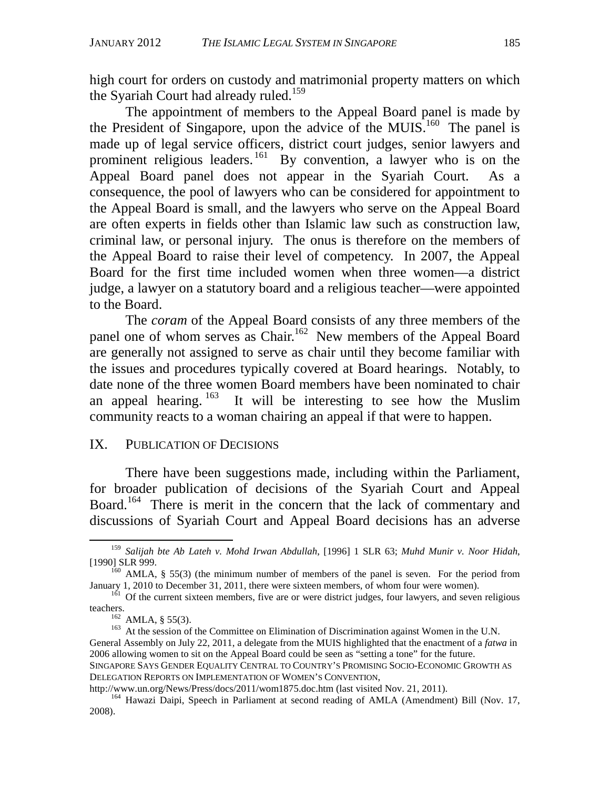high court for orders on custody and matrimonial property matters on which the Syariah Court had already ruled.<sup>159</sup>

The appointment of members to the Appeal Board panel is made by the President of Singapore, upon the advice of the MUIS.<sup>160</sup> The panel is made up of legal service officers, district court judges, senior lawyers and prominent religious leaders.  $^{161}$  By convention, a lawyer who is on the Appeal Board panel does not appear in the Syariah Court. As a consequence, the pool of lawyers who can be considered for appointment to the Appeal Board is small, and the lawyers who serve on the Appeal Board are often experts in fields other than Islamic law such as construction law, criminal law, or personal injury. The onus is therefore on the members of the Appeal Board to raise their level of competency. In 2007, the Appeal Board for the first time included women when three women—a district judge, a lawyer on a statutory board and a religious teacher—were appointed to the Board.

The *coram* of the Appeal Board consists of any three members of the panel one of whom serves as Chair.<sup>162</sup> New members of the Appeal Board are generally not assigned to serve as chair until they become familiar with the issues and procedures typically covered at Board hearings. Notably, to date none of the three women Board members have been nominated to chair an appeal hearing.  $163$  It will be interesting to see how the Muslim community reacts to a woman chairing an appeal if that were to happen.

### IX. PUBLICATION OF DECISIONS

There have been suggestions made, including within the Parliament, for broader publication of decisions of the Syariah Court and Appeal Board.<sup>164</sup> There is merit in the concern that the lack of commentary and discussions of Syariah Court and Appeal Board decisions has an adverse

 <sup>159</sup> *Salijah bte Ab Lateh v. Mohd Irwan Abdullah*, [1996] 1 SLR 63; *Muhd Munir v. Noor Hidah*, [1990] SLR 999.<br><sup>160</sup> AMLA, § 55(3) (the minimum number of members of the panel is seven. For the period from

January 1, 2010 to December 31, 2011, there were sixteen members, of whom four were women).<br><sup>161</sup> Of the current sixteen members, five are or were district judges, four lawyers, and seven religious

teachers.<br><sup>162</sup> AMLA, § 55(3).<br><sup>163</sup> At the session of the Committee on Elimination of Discrimination against Women in the U.N. General Assembly on July 22, 2011, a delegate from the MUIS highlighted that the enactment of a *fatwa* in 2006 allowing women to sit on the Appeal Board could be seen as "setting a tone" for the future. SINGAPORE SAYS GENDER EQUALITY CENTRAL TO COUNTRY'S PROMISING SOCIO-ECONOMIC GROWTH AS DELEGATION REPORTS ON IMPLEMENTATION OF WOMEN'S CONVENTION,

http://www.un.org/News/Press/docs/2011/wom1875.doc.htm (last visited Nov. 21, 2011).<br><sup>164</sup> Hawazi Daipi, Speech in Parliament at second reading of AMLA (Amendment) Bill (Nov. 17, 2008).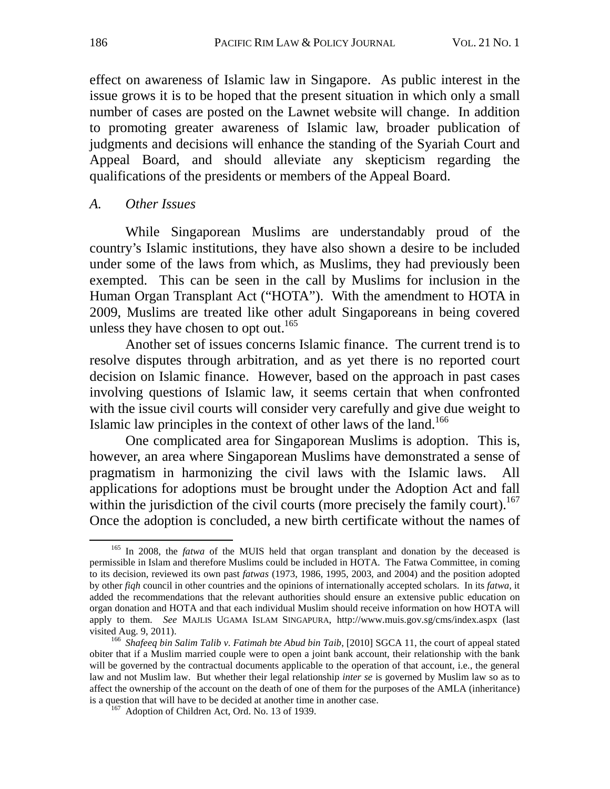effect on awareness of Islamic law in Singapore. As public interest in the issue grows it is to be hoped that the present situation in which only a small number of cases are posted on the Lawnet website will change. In addition to promoting greater awareness of Islamic law, broader publication of judgments and decisions will enhance the standing of the Syariah Court and Appeal Board, and should alleviate any skepticism regarding the qualifications of the presidents or members of the Appeal Board.

# *A. Other Issues*

While Singaporean Muslims are understandably proud of the country's Islamic institutions, they have also shown a desire to be included under some of the laws from which, as Muslims, they had previously been exempted. This can be seen in the call by Muslims for inclusion in the Human Organ Transplant Act ("HOTA"). With the amendment to HOTA in 2009, Muslims are treated like other adult Singaporeans in being covered unless they have chosen to opt out.<sup>165</sup>

Another set of issues concerns Islamic finance. The current trend is to resolve disputes through arbitration, and as yet there is no reported court decision on Islamic finance. However, based on the approach in past cases involving questions of Islamic law, it seems certain that when confronted with the issue civil courts will consider very carefully and give due weight to Islamic law principles in the context of other laws of the land.<sup>166</sup>

One complicated area for Singaporean Muslims is adoption. This is, however, an area where Singaporean Muslims have demonstrated a sense of pragmatism in harmonizing the civil laws with the Islamic laws. All applications for adoptions must be brought under the Adoption Act and fall within the jurisdiction of the civil courts (more precisely the family court).<sup>167</sup> Once the adoption is concluded, a new birth certificate without the names of

<sup>&</sup>lt;sup>165</sup> In 2008, the *fatwa* of the MUIS held that organ transplant and donation by the deceased is permissible in Islam and therefore Muslims could be included in HOTA. The Fatwa Committee, in coming to its decision, reviewed its own past *fatwas* (1973, 1986, 1995, 2003, and 2004) and the position adopted by other *fiqh* council in other countries and the opinions of internationally accepted scholars. In its *fatwa*, it added the recommendations that the relevant authorities should ensure an extensive public education on organ donation and HOTA and that each individual Muslim should receive information on how HOTA will apply to them. *See* MAJLIS UGAMA ISLAM SINGAPURA, http://www.muis.gov.sg/cms/index.aspx (last visited Aug. 9, 2011).

<sup>&</sup>lt;sup>166</sup> Shafeeq bin Salim Talib v. Fatimah bte Abud bin Taib, [2010] SGCA 11, the court of appeal stated obiter that if a Muslim married couple were to open a joint bank account, their relationship with the bank will be governed by the contractual documents applicable to the operation of that account, i.e., the general law and not Muslim law. But whether their legal relationship *inter se* is governed by Muslim law so as to affect the ownership of the account on the death of one of them for the purposes of the AMLA (inheritance) is a question that will have to be decided at another time in another case. 167 Adoption of Children Act, Ord. No. 13 of 1939.